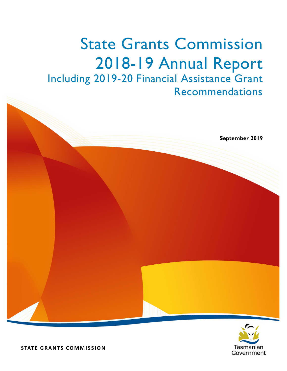# State Grants Commission 2018-19 Annual Report Including 2019-20 Financial Assistance Grant Recommendations



**September 2019**

 **STATE GRANTS COMMISSION**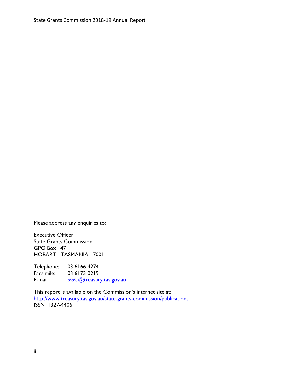Please address any enquiries to:

Executive Officer State Grants Commission GPO Box 147 HOBART TASMANIA 7001

Telephone: 03 6166 4274<br>Facsimile: 03 6173 0219 03 6173 0219 E-mail: [SGC@treasury.tas.gov.au](mailto:SGC@treasury.tas.gov.au)

This report is available on the Commission's internet site at: <http://www.treasury.tas.gov.au/state-grants-commission/publications> ISSN 1327-4406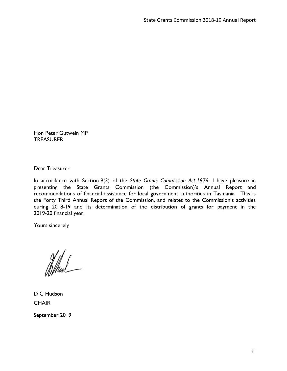Hon Peter Gutwein MP TREASURER

Dear Treasurer

In accordance with Section 9(3) of the *State Grants Commission Act 1976*, I have pleasure in presenting the State Grants Commission (the Commission)'s Annual Report and recommendations of financial assistance for local government authorities in Tasmania. This is the Forty Third Annual Report of the Commission, and relates to the Commission's activities during 2018-19 and its determination of the distribution of grants for payment in the 2019-20 financial year.

Yours sincerely

fffhuL

D C Hudson **CHAIR** 

September 2019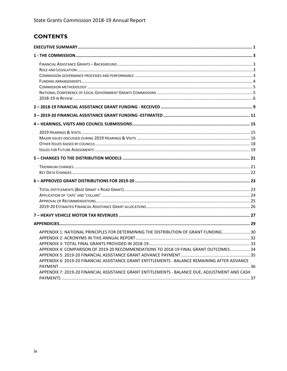# **CONTENTS**

| APPENDIX 1: NATIONAL PRINCIPLES FOR DETERMINING THE DISTRIBUTION OF GRANT FUNDING 30<br>APPENDIX 4: COMPARISON OF 2019-20 RECOMMENDATIONS TO 2018-19 FINAL GRANT OUTCOMES 34<br>APPENDIX 6: 2019-20 FINANCIAL ASSISTANCE GRANT ENTITLEMENTS - BALANCE REMAINING AFTER ADVANCE<br>APPENDIX 7: 2019-20 FINANCIAL ASSISTANCE GRANT ENTITLEMENTS - BALANCE DUE, ADJUSTMENT AND CASH |  |
|---------------------------------------------------------------------------------------------------------------------------------------------------------------------------------------------------------------------------------------------------------------------------------------------------------------------------------------------------------------------------------|--|
|                                                                                                                                                                                                                                                                                                                                                                                 |  |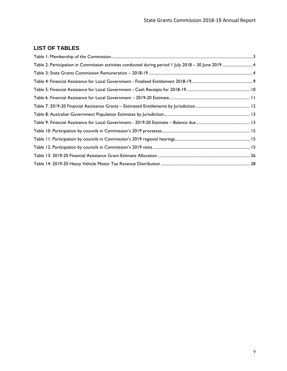# **LIST OF TABLES**

| Table 2: Participation in Commission activities conducted during period 1 July 2018 - 30 June 20194 |  |
|-----------------------------------------------------------------------------------------------------|--|
|                                                                                                     |  |
|                                                                                                     |  |
|                                                                                                     |  |
|                                                                                                     |  |
|                                                                                                     |  |
|                                                                                                     |  |
|                                                                                                     |  |
|                                                                                                     |  |
|                                                                                                     |  |
|                                                                                                     |  |
|                                                                                                     |  |
|                                                                                                     |  |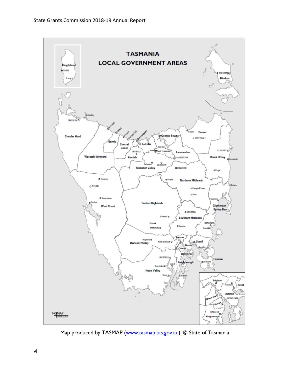

Map produced by TASMAP [\(www.tasmap.tas.gov.au\)](http://www.tasmap.tas.gov.au/), © State of Tasmania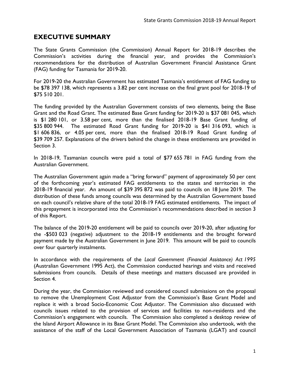# <span id="page-6-0"></span>**EXECUTIVE SUMMARY**

The State Grants Commission (the Commission) Annual Report for 2018-19 describes the Commission's activities during the financial year, and provides the Commission's recommendations for the distribution of Australian Government Financial Assistance Grant (FAG) funding for Tasmania for 2019-20.

For 2019-20 the Australian Government has estimated Tasmania's entitlement of FAG funding to be \$78 397 138, which represents a 3.82 per cent increase on the final grant pool for 2018-19 of \$75 510 201.

The funding provided by the Australian Government consists of two elements, being the Base Grant and the Road Grant. The estimated Base Grant funding for 2019-20 is \$37 081 045, which is \$1 280 101, or 3.58 per cent, more than the finalised 2018-19 Base Grant funding of \$35 800 944. The estimated Road Grant funding for 2019-20 is \$41 316 093, which is \$1 606 836, or 4.05 per cent, more than the finalised 2018-19 Road Grant funding of \$39 709 257. Explanations of the drivers behind the change in these entitlements are provided in Section 3.

In 2018-19, Tasmanian councils were paid a total of \$77 655 781 in FAG funding from the Australian Government.

The Australian Government again made a "bring forward" payment of approximately 50 per cent of the forthcoming year's estimated FAG entitlements to the states and territories in the 2018-19 financial year. An amount of \$39 395 872 was paid to councils on 18 June 2019. The distribution of these funds among councils was determined by the Australian Government based on each council's relative share of the total 2018-19 FAG estimated entitlements. The impact of this prepayment is incorporated into the Commission's recommendations described in section 3 of this Report.

The balance of the 2019-20 entitlement will be paid to councils over 2019-20, after adjusting for the -\$503 023 (negative) adjustment to the 2018-19 entitlements and the brought forward payment made by the Australian Government in June 2019. This amount will be paid to councils over four quarterly instalments.

In accordance with the requirements of the *Local Government (Financial Assistance) Act 1995*  (Australian Government 1995 Act), the Commission conducted hearings and visits and received submissions from councils. Details of these meetings and matters discussed are provided in Section 4.

During the year, the Commission reviewed and considered council submissions on the proposal to remove the Unemployment Cost Adjustor from the Commission's Base Grant Model and replace it with a broad Socio-Economic Cost Adjustor. The Commission also discussed with councils issues related to the provision of services and facilities to non-residents and the Commission's engagement with councils. The Commission also completed a desktop review of the Island Airport Allowance in its Base Grant Model. The Commission also undertook, with the assistance of the staff of the Local Government Association of Tasmania (LGAT) and council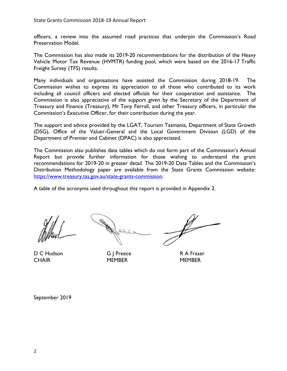officers, a review into the assumed road practices that underpin the Commission's Road Preservation Model.

The Commission has also made its 2019-20 recommendations for the distribution of the Heavy Vehicle Motor Tax Revenue (HVMTR) funding pool, which were based on the 2016-17 Traffic Freight Survey (TFS) results.

Many individuals and organisations have assisted the Commission during 2018-19. The Commission wishes to express its appreciation to all those who contributed to its work including all council officers and elected officials for their cooperation and assistance. The Commission is also appreciative of the support given by the Secretary of the Department of Treasury and Finance (Treasury), Mr Tony Ferrall, and other Treasury officers, in particular the Commission's Executive Officer, for their contribution during the year.

The support and advice provided by the LGAT, Tourism Tasmania, Department of State Growth (DSG), Office of the Valuer-General and the Local Government Division (LGD) of the Department of Premier and Cabinet (DPAC) is also appreciated.

The Commission also publishes data tables which do not form part of the Commission's Annual Report but provide further information for those wishing to understand the grant recommendations for 2019-20 in greater detail. The 2019-20 Data Tables and the Commission's Distribution Methodology paper are available from the State Grants Commission website: [https://www.treasury.tas.gov.au/state-grants-commission.](https://www.treasury.tas.gov.au/state-grants-commission)

A table of the acronyms used throughout this report is provided in Appendix 2.

D C Hudson G | Preece R A Fraser CHAIR MEMBER MEMBER MEMBER

September 2019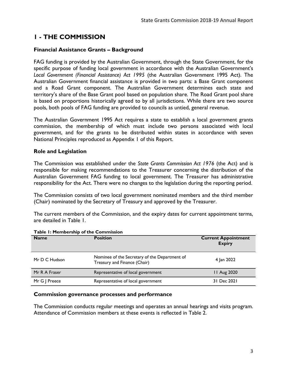# <span id="page-8-0"></span>**1 - THE COMMISSION**

# <span id="page-8-1"></span>**Financial Assistance Grants – Background**

FAG funding is provided by the Australian Government, through the State Government, for the specific purpose of funding local government in accordance with the Australian Government's *Local Government (Financial Assistance) Act 1995* (the Australian Government 1995 Act). The Australian Government financial assistance is provided in two parts: a Base Grant component and a Road Grant component. The Australian Government determines each state and territory's share of the Base Grant pool based on population share. The Road Grant pool share is based on proportions historically agreed to by all jurisdictions. While there are two source pools, both pools of FAG funding are provided to councils as untied, general revenue.

The Australian Government 1995 Act requires a state to establish a local government grants commission, the membership of which must include two persons associated with local government, and for the grants to be distributed within states in accordance with seven National Principles reproduced as Appendix 1 of this Report.

# <span id="page-8-2"></span>**Role and Legislation**

The Commission was established under the *State Grants Commission Act 1976* (the Act) and is responsible for making recommendations to the Treasurer concerning the distribution of the Australian Government FAG funding to local government. The Treasurer has administrative responsibility for the Act. There were no changes to the legislation during the reporting period.

The Commission consists of two local government nominated members and the third member (Chair) nominated by the Secretary of Treasury and approved by the Treasurer.

The current members of the Commission, and the expiry dates for current appointment terms, are detailed in Table 1.

| <b>Name</b>   | <b>Position</b>                                                               | <b>Current Appointment</b><br><b>Expiry</b> |
|---------------|-------------------------------------------------------------------------------|---------------------------------------------|
| Mr D C Hudson | Nominee of the Secretary of the Department of<br>Treasury and Finance (Chair) | 4 Jan 2022                                  |
| Mr R A Fraser | Representative of local government                                            | 11 Aug 2020                                 |
| Mr G   Preece | Representative of local government                                            | 31 Dec 2021                                 |

## <span id="page-8-4"></span>**Table 1: Membership of the Commission**

#### <span id="page-8-3"></span>**Commission governance processes and performance**

The Commission conducts regular meetings and operates an annual hearings and visits program. Attendance of Commission members at these events is reflected in Table 2.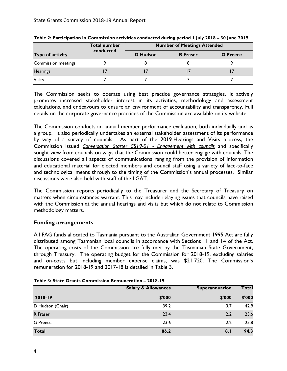|                            | <b>Total number</b><br>conducted | <b>Number of Meetings Attended</b> |                 |                 |  |  |  |
|----------------------------|----------------------------------|------------------------------------|-----------------|-----------------|--|--|--|
| Type of activity           |                                  | <b>D</b> Hudson                    | <b>R</b> Fraser | <b>G</b> Preece |  |  |  |
| <b>Commission meetings</b> |                                  |                                    |                 |                 |  |  |  |
| <b>Hearings</b>            |                                  |                                    |                 |                 |  |  |  |
| <b>Visits</b>              |                                  |                                    |                 |                 |  |  |  |

<span id="page-9-1"></span>**Table 2: Participation in Commission activities conducted during period 1 July 2018 – 30 June 2019**

The Commission seeks to operate using best practice governance strategies. It actively promotes increased stakeholder interest in its activities, methodology and assessment calculations, and endeavours to ensure an environment of accountability and transparency. Full details on the corporate governance practices of the Commission are available on its [website.](https://www.treasury.tas.gov.au/state-grants-commission)

The Commission conducts an annual member performance evaluation, both individually and as a group. It also periodically undertakes an external stakeholder assessment of its performance by way of a survey of councils. As part of the 2019 Hearings and Visits process, the Commission issued *[Conversation Starter CS19-01 -](https://www.treasury.tas.gov.au/Documents/Conversation%20Starter%20CS19-01%20-%20Engagement%20with%20councils.pdf) Engagement with councils* and specifically sought view from councils on ways that the Commission could better engage with councils. The discussions covered all aspects of communications ranging from the provision of information and educational material for elected members and council staff using a variety of face-to-face and technological means through to the timing of the Commission's annual processes. Similar discussions were also held with staff of the LGAT.

The Commission reports periodically to the Treasurer and the Secretary of Treasury on matters when circumstances warrant. This may include relaying issues that councils have raised with the Commission at the annual hearings and visits but which do not relate to Commission methodology matters.

# <span id="page-9-0"></span>**Funding arrangements**

All FAG funds allocated to Tasmania pursuant to the Australian Government 1995 Act are fully distributed among Tasmanian local councils in accordance with Sections 11 and 14 of the Act. The operating costs of the Commission are fully met by the Tasmanian State Government, through Treasury. The operating budget for the Commission for 2018-19, excluding salaries and on-costs but including member expense claims, was \$21 720. The Commission's remuneration for 2018-19 and 2017-18 is detailed in Table 3.

|                  | <b>Salary &amp; Allowances</b> | Superannuation | <b>Total</b> |  |
|------------------|--------------------------------|----------------|--------------|--|
| 2018-19          | \$'000                         | \$'000         | \$'000       |  |
| D Hudson (Chair) | 39.2                           | 3.7            | 42.9         |  |
| R Fraser         | 23.4                           | 2.2            | 25.6         |  |
| <b>G</b> Preece  | 23.6                           | 2.2            | 25.8         |  |
| <b>Total</b>     | 86.2                           | 8.1            | 94.3         |  |

<span id="page-9-2"></span>

| Table 3: State Grants Commission Remuneration - 2018-19 |  |  |  |  |  |  |
|---------------------------------------------------------|--|--|--|--|--|--|
|---------------------------------------------------------|--|--|--|--|--|--|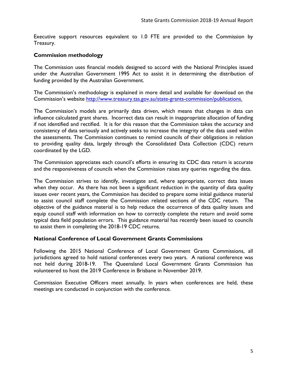Executive support resources equivalent to 1.0 FTE are provided to the Commission by Treasury.

# <span id="page-10-0"></span>**Commission methodology**

The Commission uses financial models designed to accord with the National Principles issued under the Australian Government 1995 Act to assist it in determining the distribution of funding provided by the Australian Government.

The Commission's methodology is explained in more detail and available for download on the Commission's website [http://www.treasury.tas.gov.au/state-grants-commission/publications.](http://www.treasury.tas.gov.au/state-grants-commission/publications)

The Commission's models are primarily data driven, which means that changes in data can influence calculated grant shares. Incorrect data can result in inappropriate allocation of funding if not identified and rectified. It is for this reason that the Commission takes the accuracy and consistency of data seriously and actively seeks to increase the integrity of the data used within the assessments. The Commission continues to remind councils of their obligations in relation to providing quality data, largely through the Consolidated Data Collection (CDC) return coordinated by the LGD.

The Commission appreciates each council's efforts in ensuring its CDC data return is accurate and the responsiveness of councils when the Commission raises any queries regarding the data.

The Commission strives to identify, investigate and, where appropriate, correct data issues when they occur. As there has not been a significant reduction in the quantity of data quality issues over recent years, the Commission has decided to prepare some initial guidance material to assist council staff complete the Commission related sections of the CDC return. The objective of the guidance material is to help reduce the occurrence of data quality issues and equip council staff with information on how to correctly complete the return and avoid some typical data field population errors. This guidance material has recently been issued to councils to assist them in completing the 2018-19 CDC returns.

# <span id="page-10-1"></span>**National Conference of Local Government Grants Commissions**

Following the 2015 National Conference of Local Government Grants Commissions, all jurisdictions agreed to hold national conferences every two years. A national conference was not held during 2018-19. The Queensland Local Government Grants Commission has volunteered to host the 2019 Conference in Brisbane in November 2019.

Commission Executive Officers meet annually. In years when conferences are held, these meetings are conducted in conjunction with the conference.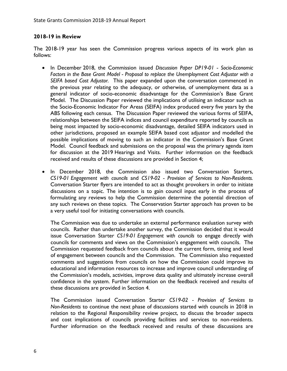# <span id="page-11-0"></span>**2018-19 in Review**

The 2018-19 year has seen the Commission progress various aspects of its work plan as follows:

- In December 2018, the Commission issued *Discussion Paper DP19-01 - Socio-Economic Factors in the Base Grant Model - Proposal to replace the Unemployment Cost Adjustor with a SEIFA based Cost Adjustor.* This paper expanded upon the conversation commenced in the previous year relating to the adequacy, or otherwise, of unemployment data as a general indicator of socio-economic disadvantage for the Commission's Base Grant Model. The Discussion Paper reviewed the implications of utilising an indicator such as the Socio-Economic Indicator For Areas (SEIFA) index produced every five years by the ABS following each census. The Discussion Paper reviewed the various forms of SEIFA, relationships between the SEIFA indices and council expenditure reported by councils as being most impacted by socio-economic disadvantage, detailed SEIFA indicators used in other jurisdictions, proposed an example SEIFA based cost adjustor and modelled the possible implications of moving to such an indicator in the Commission's Base Grant Model. Council feedback and submissions on the proposal was the primary agenda item for discussion at the 2019 Hearings and Visits. Further information on the feedback received and results of these discussions are provided in Section 4;
- In December 2018, the Commission also issued two Conversation Starters, *CS19-01 Engagement with councils* and *CS19-02 - Provision of Services to Non-Residents.*  Conversation Starter flyers are intended to act as thought provokers in order to initiate discussions on a topic. The intention is to gain council input early in the process of formulating any reviews to help the Commission determine the potential direction of any such reviews on these topics. The Conservation Starter approach has proven to be a very useful tool for initiating conversations with councils.

The Commission was due to undertake an external performance evaluation survey with councils. Rather than undertake another survey, the Commission decided that it would issue Conversation Starter *CS19-01 Engagement with councils* to engage directly with councils for comments and views on the Commission's engagement with councils. The Commission requested feedback from councils about the current form, timing and level of engagement between councils and the Commission. The Commission also requested comments and suggestions from councils on how the Commission could improve its educational and information resources to increase and improve council understanding of the Commission's models, activities, improve data quality and ultimately increase overall confidence in the system. Further information on the feedback received and results of these discussions are provided in Section 4.

The Commission issued Conversation Starter *CS19-02 - Provision of Services to Non-Residents* to continue the next phase of discussions started with councils in 2018 in relation to the Regional Responsibility review project, to discuss the broader aspects and cost implications of councils providing facilities and services to non-residents. Further information on the feedback received and results of these discussions are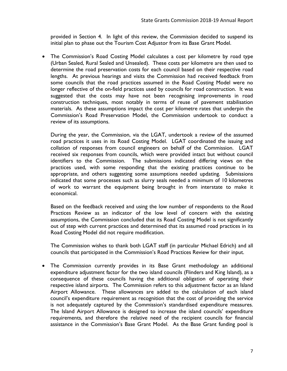provided in Section 4. In light of this review, the Commission decided to suspend its initial plan to phase out the Tourism Cost Adjustor from its Base Grant Model.

• The Commission's Road Costing Model calculates a cost per kilometre by road type (Urban Sealed, Rural Sealed and Unsealed). These costs per kilometre are then used to determine the road preservation costs for each council based on their respective road lengths. At previous hearings and visits the Commission had received feedback from some councils that the road practices assumed in the Road Costing Model were no longer reflective of the on-field practices used by councils for road construction. It was suggested that the costs may have not been recognising improvements in road construction techniques, most notably in terms of reuse of pavement stabilisation materials. As these assumptions impact the cost per kilometre rates that underpin the Commission's Road Preservation Model, the Commission undertook to conduct a review of its assumptions.

During the year, the Commission, via the LGAT, undertook a review of the assumed road practices it uses in its Road Costing Model. LGAT coordinated the issuing and collation of responses from council engineers on behalf of the Commission. LGAT received six responses from councils, which were provided intact but without council identifiers to the Commission. The submissions indicated differing views on the practices used, with some responding that the existing practices continue to be appropriate, and others suggesting some assumptions needed updating. Submissions indicated that some processes such as slurry seals needed a minimum of 10 kilometres of work to warrant the equipment being brought in from interstate to make it economical.

Based on the feedback received and using the low number of respondents to the Road Practices Review as an indicator of the low level of concern with the existing assumptions, the Commission concluded that its Road Costing Model is not significantly out of step with current practices and determined that its assumed road practices in its Road Costing Model did not require modification.

The Commission wishes to thank both LGAT staff (in particular Michael Edrich) and all councils that participated in the Commission's Road Practices Review for their input.

• The Commission currently provides in its Base Grant methodology an additional expenditure adjustment factor for the two island councils (Flinders and King Island), as a consequence of these councils having the additional obligation of operating their respective island airports. The Commission refers to this adjustment factor as an Island Airport Allowance. These allowances are added to the calculation of each island council's expenditure requirement as recognition that the cost of providing the service is not adequately captured by the Commission's standardised expenditure measures. The Island Airport Allowance is designed to increase the island councils' expenditure requirements, and therefore the relative need of the recipient councils for financial assistance in the Commission's Base Grant Model. As the Base Grant funding pool is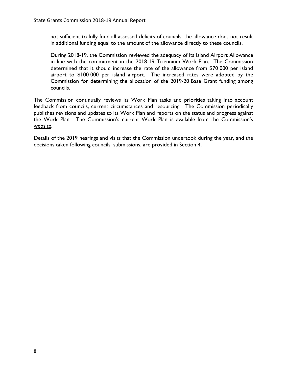not sufficient to fully fund all assessed deficits of councils, the allowance does not result in additional funding equal to the amount of the allowance directly to these councils.

During 2018-19, the Commission reviewed the adequacy of its Island Airport Allowance in line with the commitment in the 2018-19 Triennium Work Plan. The Commission determined that it should increase the rate of the allowance from \$70 000 per island airport to \$100 000 per island airport. The increased rates were adopted by the Commission for determining the allocation of the 2019-20 Base Grant funding among councils.

The Commission continually reviews its Work Plan tasks and priorities taking into account feedback from councils, current circumstances and resourcing. The Commission periodically publishes revisions and updates to its Work Plan and reports on the status and progress against the Work Plan. The Commission's current Work Plan is available from the Commission's [website.](https://www.treasury.tas.gov.au/state-grants-commission)

Details of the 2019 hearings and visits that the Commission undertook during the year, and the decisions taken following councils' submissions, are provided in Section 4.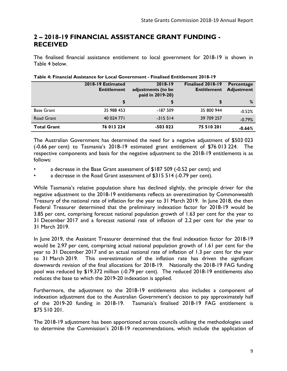# <span id="page-14-0"></span>**2 – 2018-19 FINANCIAL ASSISTANCE GRANT FUNDING - RECEIVED**

The finalised financial assistance entitlement to local government for 2018-19 is shown in Table 4 below.

|                    | 2018-19 Estimated<br><b>Entitlement</b> | 2018-19<br>adjustments (to be<br>paid in 2019-20) | <b>Finalised 2018-19</b><br><b>Entitlement</b> | Percentage<br><b>Adjustment</b> |
|--------------------|-----------------------------------------|---------------------------------------------------|------------------------------------------------|---------------------------------|
|                    | \$                                      |                                                   |                                                | %                               |
| <b>Base Grant</b>  | 35 988 453                              | $-187509$                                         | 35 800 944                                     | $-0.52%$                        |
| Road Grant         | 40 024 771                              | $-315514$                                         | 39 709 257                                     | $-0.79%$                        |
| <b>Total Grant</b> | 76 013 224                              | $-503023$                                         | 75 510 201                                     | $-0.66%$                        |

#### <span id="page-14-1"></span>**Table 4: Financial Assistance for Local Government - Finalised Entitlement 2018-19**

The Australian Government has determined the need for a negative adjustment of \$503 023 (-0.66 per cent) to Tasmania's 2018-19 estimated grant entitlement of \$76 013 224. The respective components and basis for the negative adjustment to the 2018-19 entitlements is as follows:

- a decrease in the Base Grant assessment of \$187 509 (-0.52 per cent); and
- a decrease in the Road Grant assessment of \$315 514 (-0.79 per cent).

While Tasmania's relative population share has declined slightly, the principle driver for the negative adjustment to the 2018-19 entitlements reflects an overestimation by Commonwealth Treasury of the national rate of inflation for the year to 31 March 2019. In June 2018, the then Federal Treasurer determined that the preliminary indexation factor for 2018-19 would be 3.85 per cent, comprising forecast national population growth of 1.63 per cent for the year to 31 December 2017 and a forecast national rate of inflation of 2.2 per cent for the year to 31 March 2019.

In June 2019, the Assistant Treasurer determined that the final indexation factor for 2018-19 would be 2.97 per cent, comprising actual national population growth of 1.61 per cent for the year to 31 December 2017 and an actual national rate of inflation of 1.3 per cent for the year to 31 March 2019. This overestimation of the inflation rate has driven the significant downwards revision of the final allocations for 2018-19. Nationally the 2018-19 FAG funding pool was reduced by \$19.372 million (-0.79 per cent). The reduced 2018-19 entitlements also reduces the base to which the 2019-20 indexation is applied.

Furthermore, the adjustment to the 2018-19 entitlements also includes a component of indexation adjustment due to the Australian Government's decision to pay approximately half of the 2019-20 funding in 2018-19. Tasmania's finalised 2018-19 FAG entitlement is \$75 510 201.

The 2018-19 adjustment has been apportioned across councils utilising the methodologies used to determine the Commission's 2018-19 recommendations, which include the application of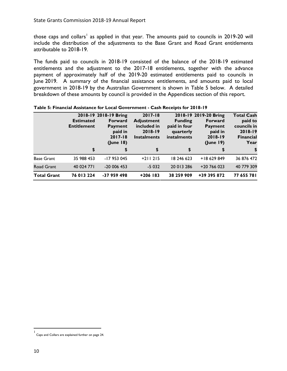those caps and collars<sup>[1](#page-15-1)</sup> as applied in that year. The amounts paid to councils in 2019-20 will include the distribution of the adjustments to the Base Grant and Road Grant entitlements attributable to 2018-19.

The funds paid to councils in 2018-19 consisted of the balance of the 2018-19 estimated entitlements and the adjustment to the 2017-18 entitlements, together with the advance payment of approximately half of the 2019-20 estimated entitlements paid to councils in June 2019. A summary of the financial assistance entitlements, and amounts paid to local government in 2018-19 by the Australian Government is shown in Table 5 below. A detailed breakdown of these amounts by council is provided in the Appendices section of this report.

|                    | <b>Estimated</b><br><b>Entitlement</b> | 2018-19 2018-19 Bring<br><b>Forward</b><br><b>Payment</b><br>paid in<br>$2017 - 18$<br>(June 18) | $2017 - 18$<br><b>Adjustment</b><br>included in<br>$2018 - 19$<br><b>Instalments</b> | <b>Funding</b><br>paid in four<br>quarterly<br>instalments | 2018-19 2019-20 Bring<br>Forward<br>Payment<br>paid in<br>2018-19<br>(June 19) | <b>Total Cash</b><br>paid to<br>councils in<br>2018-19<br><b>Financial</b><br>Year |
|--------------------|----------------------------------------|--------------------------------------------------------------------------------------------------|--------------------------------------------------------------------------------------|------------------------------------------------------------|--------------------------------------------------------------------------------|------------------------------------------------------------------------------------|
|                    | \$                                     | \$                                                                                               | \$                                                                                   | \$                                                         |                                                                                | \$                                                                                 |
| <b>Base Grant</b>  | 35 988 453                             | -17 953 045                                                                                      | $+211215$                                                                            | 18 246 623                                                 | +18 629 849                                                                    | 36 876 472                                                                         |
| Road Grant         | 40 024 771                             | $-20006453$                                                                                      | $-5032$                                                                              | 20 013 286                                                 | $+20$ 766 023                                                                  | 40 779 309                                                                         |
| <b>Total Grant</b> | 76 013 224                             | -37 959 498                                                                                      | $+206$ 183                                                                           | 38 259 909                                                 | +39 395 872                                                                    | 77 655 781                                                                         |

<span id="page-15-0"></span>

<span id="page-15-1"></span><sup>|&</sup>lt;br>| Caps and Collars are explained further on page [24.](#page-29-0)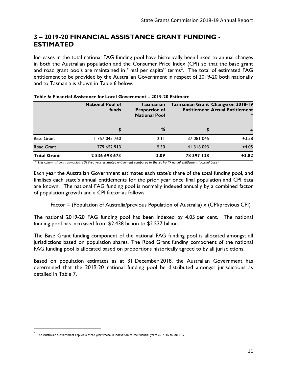# <span id="page-16-0"></span>**3 – 2019-20 FINANCIAL ASSISTANCE GRANT FUNDING - ESTIMATED**

Increases in the total national FAG funding pool have historically been linked to annual changes in both the Australian population and the Consumer Price Index (CPI) so that the base grant and road grant pools are maintained in "real per capita" terms<sup>[2](#page-16-2)</sup>. The total of estimated FAG entitlement to be provided by the Australian Government in respect of 2019-20 both nationally and to Tasmania is shown in Table 6 below.

|                    | <b>National Pool of</b><br>Tasmanian<br>funds<br><b>Proportion of</b><br><b>National Pool</b> |      |            | Tasmanian Grant Change on 2018-19<br><b>Entitlement Actual Entitlement</b><br>∗ |  |
|--------------------|-----------------------------------------------------------------------------------------------|------|------------|---------------------------------------------------------------------------------|--|
|                    |                                                                                               | ℅    | \$         | %                                                                               |  |
| <b>Base Grant</b>  | 757 045 760                                                                                   | 2.11 | 37 081 045 | $+3.58$                                                                         |  |
| <b>Road Grant</b>  | 779 652 913                                                                                   | 5.30 | 41 316 093 | $+4.05$                                                                         |  |
| <b>Total Grant</b> | 2 536 698 673                                                                                 | 3.09 | 78 397 138 | $+3.82$                                                                         |  |

#### <span id="page-16-1"></span>**Table 6: Financial Assistance for Local Government – 2019-20 Estimate**

*\* This column shows Tasmania's 2019-20 year estimated entitlement compared to the 2018-19 actual entitlement (accrual basis)*

Each year the Australian Government estimates each state's share of the total funding pool, and finalises each state's annual entitlements for the prior year once final population and CPI data are known. The national FAG funding pool is normally indexed annually by a combined factor of population growth and a CPI factor as follows:

Factor = (Population of Australia/previous Population of Australia)  $\times$  (CPI/previous CPI)

The national 2019-20 FAG funding pool has been indexed by 4.05 per cent. The national funding pool has increased from \$2.438 billion to \$2.537 billion.

The Base Grant funding component of the national FAG funding pool is allocated amongst all jurisdictions based on population shares. The Road Grant funding component of the national FAG funding pool is allocated based on proportions historically agreed to by all jurisdictions.

Based on population estimates as at 31 December 2018, the Australian Government has determined that the 2019-20 national funding pool be distributed amongst jurisdictions as detailed in Table 7.

<span id="page-16-2"></span><sup>&</sup>lt;sup>2</sup>  $\mathbf{2}$ The Australian Government applied a three year freeze in indexation to the financial years 2014-15 to 2016-17.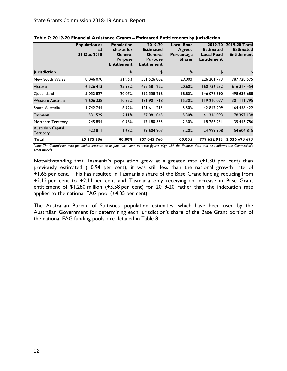|                                        | <b>Population as</b><br>at<br>31 Dec 2018 | <b>Population</b><br>shares for<br>General<br><b>Purpose</b><br><b>Entitlement</b> | 2019-20<br><b>Estimated</b><br>General<br><b>Purpose</b><br><b>Entitlement</b> | <b>Local Road</b><br>Agreed<br>Percentage<br><b>Shares</b> | 2019-20<br><b>Estimated</b><br><b>Local Road</b><br><b>Entitlement</b> | 2019-20 Total<br><b>Estimated</b><br><b>Entitlement</b> |
|----------------------------------------|-------------------------------------------|------------------------------------------------------------------------------------|--------------------------------------------------------------------------------|------------------------------------------------------------|------------------------------------------------------------------------|---------------------------------------------------------|
| <b>Jurisdiction</b>                    |                                           | %                                                                                  | \$                                                                             | %                                                          | \$                                                                     | \$                                                      |
| New South Wales                        | 8 046 070                                 | 31.96%                                                                             | 561 526 802                                                                    | 29.00%                                                     | 226 201 773                                                            | 787 728 575                                             |
| Victoria                               | 6 5 2 6 4 1 3                             | 25.93%                                                                             | 455 581 222                                                                    | 20.60%                                                     | 160 736 232                                                            | 616317454                                               |
| Queensland                             | 5 052 827                                 | 20.07%                                                                             | 352 558 298                                                                    | 18.80%                                                     | 146 078 390                                                            | 498 636 688                                             |
| Western Australia                      | 2 606 338                                 | 10.35%                                                                             | 181 901 718                                                                    | 15.30%                                                     | 119 210 077                                                            | 301 111 795                                             |
| South Australia                        | 742 744                                   | 6.92%                                                                              | 121611213                                                                      | 5.50%                                                      | 42 847 209                                                             | 64 458 422                                              |
| Tasmania                               | 531 529                                   | 2.11%                                                                              | 37 081 045                                                                     | 5.30%                                                      | 41 316 093                                                             | 78 397 138                                              |
| Northern Territory                     | 245 854                                   | 0.98%                                                                              | 17 180 555                                                                     | 2.30%                                                      | 18 263 231                                                             | 35 443 786                                              |
| Australian Capital<br><b>Territory</b> | 423811                                    | 1.68%                                                                              | 29 604 907                                                                     | 3.20%                                                      | 24 999 908                                                             | 54 604 815                                              |
| Total                                  | 25 175 586                                | 100.00%                                                                            | 1757045760                                                                     | 100.00%                                                    | 779 652 913                                                            | 2 536 698 673                                           |

<span id="page-17-0"></span>

| Table 7: 2019-20 Financial Assistance Grants - Estimated Entitlements by Jurisdiction |  |  |  |  |
|---------------------------------------------------------------------------------------|--|--|--|--|
|---------------------------------------------------------------------------------------|--|--|--|--|

*Note: The Commission uses population statistics as at June each year, as these figures align with the financial data that also informs the Commission's grant models.* 

Notwithstanding that Tasmania's population grew at a greater rate (+1.30 per cent) than previously estimated (+0.94 per cent), it was still less than the national growth rate of +1.65 per cent. This has resulted in Tasmania's share of the Base Grant funding reducing from +2.12 per cent to +2.11 per cent and Tasmania only receiving an increase in Base Grant entitlement of \$1.280 million (+3.58 per cent) for 2019-20 rather than the indexation rate applied to the national FAG pool (+4.05 per cent).

The Australian Bureau of Statistics' population estimates, which have been used by the Australian Government for determining each jurisdiction's share of the Base Grant portion of the national FAG funding pools, are detailed in Table 8.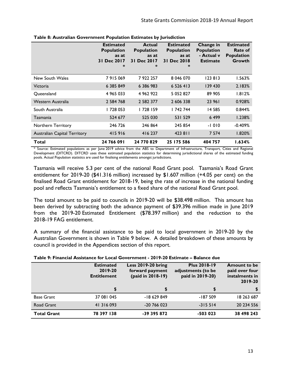|                                     | <b>Estimated</b><br><b>Population</b><br>as at<br><b>Dec 2017</b><br>31<br>∗ | <b>Actual</b><br><b>Population</b><br>as at<br><b>Dec 2017</b><br>3 I<br>∗ | <b>Estimated</b><br><b>Population</b><br>as at<br><b>Dec 2018</b><br>3 I<br>∗ | Change in<br><b>Population</b><br>- Actual v<br><b>Estimate</b> | <b>Estimated</b><br>Rate of<br><b>Population</b><br>Growth |
|-------------------------------------|------------------------------------------------------------------------------|----------------------------------------------------------------------------|-------------------------------------------------------------------------------|-----------------------------------------------------------------|------------------------------------------------------------|
| New South Wales                     | 7915069                                                                      | 7922257                                                                    | 8 046 070                                                                     | 123813                                                          | 1.563%                                                     |
| Victoria                            | 6 385 849                                                                    | 6 386 983                                                                  | 6 5 2 6 4 1 3                                                                 | 139 430                                                         | 2.183%                                                     |
| Oueensland                          | 4 965 033                                                                    | 4 962 922                                                                  | 5 052 827                                                                     | 89 905                                                          | 1.812%                                                     |
| Western Australia                   | 2 5 8 4 7 6 8                                                                | 2 582 377                                                                  | 2 606 338                                                                     | 23 961                                                          | 0.928%                                                     |
| South Australia                     | 728 053                                                                      | 728 159                                                                    | 742 744                                                                       | 14 585                                                          | 0.844%                                                     |
| Tasmania                            | 524 677                                                                      | 525 030                                                                    | 531 529                                                                       | 6499                                                            | 1.238%                                                     |
| Northern Territory                  | 246 726                                                                      | 246 864                                                                    | 245 854                                                                       | $-1010$                                                         | $-0.409%$                                                  |
| <b>Australian Capital Territory</b> | 415916                                                                       | 416237                                                                     | 423 811                                                                       | 7 5 7 4                                                         | 1.820%                                                     |
| Total                               | 24 766 091                                                                   | 24 770 829                                                                 | 25 175 586                                                                    | 404 757                                                         | 1.634%                                                     |

#### <span id="page-18-0"></span>**Table 8: Australian Government Population Estimates by Jurisdiction**

\* Source: Estimated populations as per June 2019 advice from the ABS to Department of Infrastructure, Transport, Cities and Regional Development (DITCRD). DITCRD uses these estimated population statistics for determining jurisdictional shares of the estimated funding pools. Actual Population statistics are used for finalising entitlements amongst jurisdictions.

Tasmania will receive 5.3 per cent of the national Road Grant pool. Tasmania's Road Grant entitlement for 2019-20 (\$41.316 million) increased by \$1.607 million (+4.05 per cent) on the finalised Road Grant entitlement for 2018-19, being the rate of increase in the national funding pool and reflects Tasmania's entitlement to a fixed share of the national Road Grant pool.

The total amount to be paid to councils in 2019-20 will be \$38.498 million. This amount has been derived by subtracting both the advance payment of \$39.396 million made in June 2019 from the 2019-20 Estimated Entitlement (\$78.397 million) and the reduction to the 2018-19 FAG entitlement.

A summary of the financial assistance to be paid to local government in 2019-20 by the Australian Government is shown in Table 9 below. A detailed breakdown of these amounts by council is provided in the Appendices section of this report.

#### <span id="page-18-1"></span>**Table 9: Financial Assistance for Local Government - 2019-20 Estimate – Balance due**

|                    | <b>Estimated</b><br>2019-20<br><b>Entitlement</b> | <b>Less 2019-20 bring</b><br>forward payment<br>(paid in 2018-19) | <b>Plus 2018-19</b><br>adjustments (to be<br>paid in 2019-20) | <b>Amount to be</b><br>paid over four<br>instalments in<br>2019-20 |  |
|--------------------|---------------------------------------------------|-------------------------------------------------------------------|---------------------------------------------------------------|--------------------------------------------------------------------|--|
|                    |                                                   | \$                                                                | \$                                                            |                                                                    |  |
| <b>Base Grant</b>  | 37 081 045                                        | -18 629 849                                                       | $-187509$                                                     | 18 263 687                                                         |  |
| Road Grant         | 41 316 093                                        | $-20766023$                                                       | $-315514$                                                     | 20 234 556                                                         |  |
| <b>Total Grant</b> | 78 397 138                                        | -39 395 872                                                       | $-503023$                                                     | 38 498 243                                                         |  |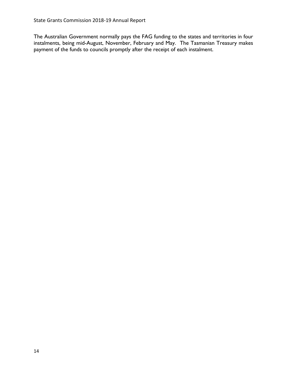The Australian Government normally pays the FAG funding to the states and territories in four instalments, being mid-August, November, February and May. The Tasmanian Treasury makes payment of the funds to councils promptly after the receipt of each instalment.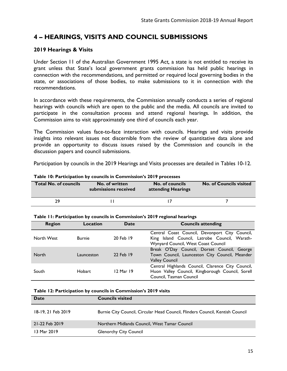# <span id="page-20-0"></span>**4 – HEARINGS, VISITS AND COUNCIL SUBMISSIONS**

# <span id="page-20-1"></span>**2019 Hearings & Visits**

Under Section 11 of the Australian Government 1995 Act*,* a state is not entitled to receive its grant unless that State's local government grants commission has held public hearings in connection with the recommendations, and permitted or required local governing bodies in the state, or associations of those bodies, to make submissions to it in connection with the recommendations.

In accordance with these requirements, the Commission annually conducts a series of regional hearings with councils which are open to the public and the media. All councils are invited to participate in the consultation process and attend regional hearings. In addition, the Commission aims to visit approximately one third of councils each year.

The Commission values face-to-face interaction with councils. Hearings and visits provide insights into relevant issues not discernible from the review of quantitative data alone and provide an opportunity to discuss issues raised by the Commission and councils in the discussion papers and council submissions.

Participation by councils in the 2019 Hearings and Visits processes are detailed in Tables 10-12.

| <b>Total No. of councils</b> | No. of written<br>submissions received | No. of councils<br>attending Hearings | <b>No. of Councils visited</b> |  |  |
|------------------------------|----------------------------------------|---------------------------------------|--------------------------------|--|--|
|                              |                                        |                                       |                                |  |  |
| 29                           |                                        |                                       |                                |  |  |

<span id="page-20-2"></span>

|  | Table 10: Participation by councils in Commission's 2019 processes |
|--|--------------------------------------------------------------------|
|--|--------------------------------------------------------------------|

<span id="page-20-3"></span>

|  | Table 11: Participation by councils in Commission's 2019 regional hearings |  |
|--|----------------------------------------------------------------------------|--|
|--|----------------------------------------------------------------------------|--|

| <b>Region</b> | Location      | Date      | <b>Councils attending</b>                                                                                                              |
|---------------|---------------|-----------|----------------------------------------------------------------------------------------------------------------------------------------|
| North West    | <b>Burnie</b> | 20 Feb 19 | Central Coast Council, Devonport City Council,<br>King Island Council, Latrobe Council, Warath-<br>Wynyard Council, West Coast Council |
| North         | Launceston    | 22 Feb 19 | Break O'Day Council, Dorset Council, George<br>Town Council, Launceston City Council, Meander<br><b>Valley Council</b>                 |
| South         | <b>Hobart</b> | 12 Mar 19 | Central Highlands Council, Clarence City Council,<br>Huon Valley Council, Kingborough Council, Sorell<br>Council, Tasman Council       |

#### <span id="page-20-4"></span>**Table 12: Participation by councils in Commission's 2019 visits**

| Date               | <b>Councils visited</b>                                                       |
|--------------------|-------------------------------------------------------------------------------|
| 18-19, 21 Feb 2019 | Burnie City Council, Circular Head Council, Flinders Council, Kentish Council |
| 21-22 Feb 2019     | Northern Midlands Council, West Tamar Council                                 |
| 13 Mar 2019        | <b>Glenorchy City Council</b>                                                 |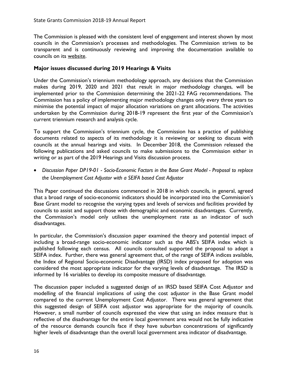The Commission is pleased with the consistent level of engagement and interest shown by most councils in the Commission's processes and methodologies. The Commission strives to be transparent and is continuously reviewing and improving the documentation available to councils on its [website.](https://www.treasury.tas.gov.au/state-grants-commission)

## <span id="page-21-0"></span>**Major issues discussed during 2019 Hearings & Visits**

Under the Commission's triennium methodology approach, any decisions that the Commission makes during 2019, 2020 and 2021 that result in major methodology changes, will be implemented prior to the Commission determining the 2021-22 FAG recommendations. The Commission has a policy of implementing major methodology changes only every three years to minimise the potential impact of major allocation variations on grant allocations. The activities undertaken by the Commission during 2018-19 represent the first year of the Commission's current triennium research and analysis cycle.

To support the Commission's triennium cycle, the Commission has a practice of publishing documents related to aspects of its methodology it is reviewing or seeking to discuss with councils at the annual hearings and visits. In December 2018, the Commission released the following publications and asked councils to make submissions to the Commission either in writing or as part of the 2019 Hearings and Visits discussion process.

• *Discussion Paper DP19-01 - Socio-Economic Factors in the Base Grant Model - Proposal to replace the Unemployment Cost Adjustor with a SEIFA based Cost Adjustor* 

This Paper continued the discussions commenced in 2018 in which councils, in general, agreed that a broad range of socio-economic indicators should be incorporated into the Commission's Base Grant model to recognise the varying types and levels of services and facilities provided by councils to assist and support those with demographic and economic disadvantages. Currently, the Commission's model only utilises the unemployment rate as an indicator of such disadvantages.

In particular, the Commission's discussion paper examined the theory and potential impact of including a broad-range socio-economic indicator such as the ABS's SEIFA index which is published following each census. All councils consulted supported the proposal to adopt a SEIFA index. Further, there was general agreement that, of the range of SEIFA indices available, the Index of Regional Socio-economic Disadvantage (IRSD) index proposed for adoption was considered the most appropriate indicator for the varying levels of disadvantage. The IRSD is informed by 16 variables to develop its composite measure of disadvantage.

The discussion paper included a suggested design of an IRSD based SEIFA Cost Adjustor and modelling of the financial implications of using the cost adjustor in the Base Grant model compared to the current Unemployment Cost Adjustor. There was general agreement that this suggested design of SEIFA cost adjustor was appropriate for the majority of councils. However, a small number of councils expressed the view that using an index measure that is reflective of the disadvantage for the entire local government area would not be fully indicative of the resource demands councils face if they have suburban concentrations of significantly higher levels of disadvantage than the overall local government area indicator of disadvantage.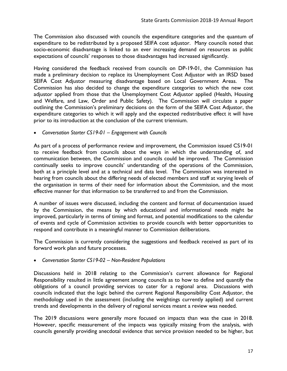The Commission also discussed with councils the expenditure categories and the quantum of expenditure to be redistributed by a proposed SEIFA cost adjustor. Many councils noted that socio-economic disadvantage is linked to an ever increasing demand on resources as public expectations of councils' responses to those disadvantages had increased significantly.

Having considered the feedback received from councils on DP-19-01, the Commission has made a preliminary decision to replace its Unemployment Cost Adjustor with an IRSD based SEIFA Cost Adjustor measuring disadvantage based on Local Government Areas. The Commission has also decided to change the expenditure categories to which the new cost adjustor applied from those that the Unemployment Cost Adjustor applied (Health, Housing and Welfare, and Law, Order and Public Safety). The Commission will circulate a paper outlining the Commission's preliminary decisions on the form of the SEIFA Cost Adjustor, the expenditure categories to which it will apply and the expected redistributive effect it will have prior to its introduction at the conclusion of the current triennium.

• *Conversation Starter CS19-01 – Engagement with Councils*

As part of a process of performance review and improvement*,* the Commission issued CS19-01 to receive feedback from councils about the ways in which the understanding of, and communication between, the Commission and councils could be improved. The Commission continually seeks to improve councils' understanding of the operations of the Commission, both at a principle level and at a technical and data level. The Commission was interested in hearing from councils about the differing needs of elected members and staff at varying levels of the organisation in terms of their need for information about the Commission, and the most effective manner for that information to be transferred to and from the Commission.

A number of issues were discussed, including the content and format of documentation issued by the Commission, the means by which educational and informational needs might be improved, particularly in terms of timing and format, and potential modifications to the calendar of events and cycle of Commission activities to provide councils with better opportunities to respond and contribute in a meaningful manner to Commission deliberations.

The Commission is currently considering the suggestions and feedback received as part of its forward work plan and future processes.

• *Conversation Starter CS19-02 – Non-Resident Populations*

Discussions held in 2018 relating to the Commission's current allowance for Regional Responsibility resulted in little agreement among councils as to how to define and quantify the obligations of a council providing services to cater for a regional area. Discussions with councils indicated that the logic behind the current Regional Responsibility Cost Adjustor, the methodology used in the assessment (including the weightings currently applied) and current trends and developments in the delivery of regional services meant a review was needed.

The 2019 discussions were generally more focused on impacts than was the case in 2018. However, specific measurement of the impacts was typically missing from the analysis, with councils generally providing anecdotal evidence that service provision needed to be higher, but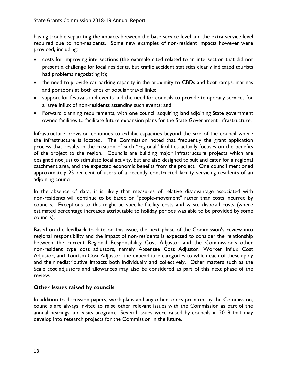having trouble separating the impacts between the base service level and the extra service level required due to non-residents. Some new examples of non-resident impacts however were provided, including:

- costs for improving intersections (the example cited related to an intersection that did not present a challenge for local residents, but traffic accident statistics clearly indicated tourists had problems negotiating it);
- the need to provide car parking capacity in the proximity to CBDs and boat ramps, marinas and pontoons at both ends of popular travel links;
- support for festivals and events and the need for councils to provide temporary services for a large influx of non-residents attending such events; and
- Forward planning requirements, with one council acquiring land adjoining State government owned facilities to facilitate future expansion plans for the State Government infrastructure.

Infrastructure provision continues to exhibit capacities beyond the size of the council where the infrastructure is located. The Commission noted that frequently the grant application process that results in the creation of such "regional" facilities actually focuses on the benefits of the project to the region. Councils are building major infrastructure projects which are designed not just to stimulate local activity, but are also designed to suit and cater for a regional catchment area, and the expected economic benefits from the project. One council mentioned approximately 25 per cent of users of a recently constructed facility servicing residents of an adjoining council.

In the absence of data, it is likely that measures of relative disadvantage associated with non-residents will continue to be based on "people-movement" rather than costs incurred by councils. Exceptions to this might be specific facility costs and waste disposal costs (where estimated percentage increases attributable to holiday periods was able to be provided by some councils).

Based on the feedback to date on this issue, the next phase of the Commission's review into regional responsibility and the impact of non-residents is expected to consider the relationship between the current Regional Responsibility Cost Adjustor and the Commission's other non-resident type cost adjustors, namely Absentee Cost Adjustor, Worker Influx Cost Adjustor, and Tourism Cost Adjustor, the expenditure categories to which each of these apply and their redistributive impacts both individually and collectively. Other matters such as the Scale cost adjustors and allowances may also be considered as part of this next phase of the review.

# <span id="page-23-0"></span>**Other Issues raised by councils**

In addition to discussion papers, work plans and any other topics prepared by the Commission, councils are always invited to raise other relevant issues with the Commission as part of the annual hearings and visits program. Several issues were raised by councils in 2019 that may develop into research projects for the Commission in the future.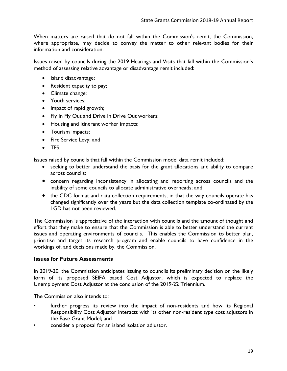When matters are raised that do not fall within the Commission's remit, the Commission, where appropriate, may decide to convey the matter to other relevant bodies for their information and consideration.

Issues raised by councils during the 2019 Hearings and Visits that fall within the Commission's method of assessing relative advantage or disadvantage remit included:

- Island disadvantage;
- Resident capacity to pay;
- Climate change;
- Youth services;
- Impact of rapid growth;
- Fly In Fly Out and Drive In Drive Out workers;
- Housing and Itinerant worker impacts;
- Tourism impacts;
- Fire Service Levy; and
- TFS.

Issues raised by councils that fall within the Commission model data remit included:

- seeking to better understand the basis for the grant allocations and ability to compare across councils;
- concern regarding inconsistency in allocating and reporting across councils and the inability of some councils to allocate administrative overheads; and
- the CDC format and data collection requirements, in that the way councils operate has changed significantly over the years but the data collection template co-ordinated by the LGD has not been reviewed.

The Commission is appreciative of the interaction with councils and the amount of thought and effort that they make to ensure that the Commission is able to better understand the current issues and operating environments of councils. This enables the Commission to better plan, prioritise and target its research program and enable councils to have confidence in the workings of, and decisions made by, the Commission.

#### <span id="page-24-0"></span>**Issues for Future Assessments**

In 2019-20, the Commission anticipates issuing to councils its preliminary decision on the likely form of its proposed SEIFA based Cost Adjustor, which is expected to replace the Unemployment Cost Adjustor at the conclusion of the 2019-22 Triennium.

The Commission also intends to:

- further progress its review into the impact of non-residents and how its Regional Responsibility Cost Adjustor interacts with its other non-resident type cost adjustors in the Base Grant Model; and
- consider a proposal for an island isolation adjustor.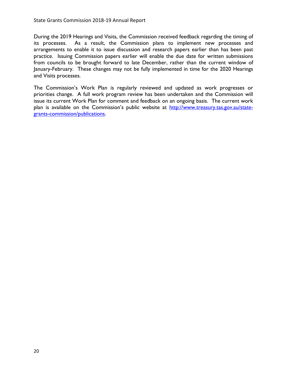During the 2019 Hearings and Visits, the Commission received feedback regarding the timing of its processes. As a result, the Commission plans to implement new processes and arrangements to enable it to issue discussion and research papers earlier than has been past practice. Issuing Commission papers earlier will enable the due date for written submissions from councils to be brought forward to late December, rather than the current window of January-February. These changes may not be fully implemented in time for the 2020 Hearings and Visits processes.

The Commission's Work Plan is regularly reviewed and updated as work progresses or priorities change. A full work program review has been undertaken and the Commission will issue its current Work Plan for comment and feedback on an ongoing basis. The current work plan is available on the Commission's public website at [http://www.treasury.tas.gov.au/state](http://www.treasury.tas.gov.au/state-grants-commission/publications)[grants-commission/publications.](http://www.treasury.tas.gov.au/state-grants-commission/publications)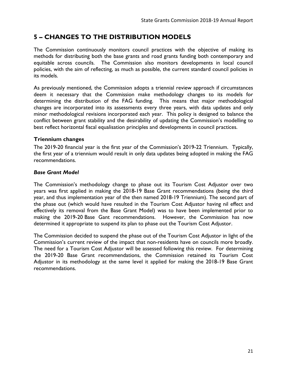# <span id="page-26-0"></span>**5 – CHANGES TO THE DISTRIBUTION MODELS**

The Commission continuously monitors council practices with the objective of making its methods for distributing both the base grants and road grants funding both contemporary and equitable across councils. The Commission also monitors developments in local council policies, with the aim of reflecting, as much as possible, the current standard council policies in its models.

As previously mentioned, the Commission adopts a triennial review approach if circumstances deem it necessary that the Commission make methodology changes to its models for determining the distribution of the FAG funding. This means that major methodological changes are incorporated into its assessments every three years, with data updates and only minor methodological revisions incorporated each year. This policy is designed to balance the conflict between grant stability and the desirability of updating the Commission's modelling to best reflect horizontal fiscal equalisation principles and developments in council practices.

# <span id="page-26-1"></span>**Triennium changes**

The 2019-20 financial year is the first year of the Commission's 2019-22 Triennium. Typically, the first year of a triennium would result in only data updates being adopted in making the FAG recommendations.

# *Base Grant Model*

The Commission's methodology change to phase out its Tourism Cost Adjustor over two years was first applied in making the 2018-19 Base Grant recommendations (being the third year, and thus implementation year of the then named 2018-19 Triennium). The second part of the phase out (which would have resulted in the Tourism Cost Adjustor having nil effect and effectively its removal from the Base Grant Model) was to have been implemented prior to making the 2019-20 Base Gant recommendations. However, the Commission has now determined it appropriate to suspend its plan to phase out the Tourism Cost Adjustor.

The Commission decided to suspend the phase out of the Tourism Cost Adjustor in light of the Commission's current review of the impact that non-residents have on councils more broadly. The need for a Tourism Cost Adjustor will be assessed following this review. For determining the 2019-20 Base Grant recommendations, the Commission retained its Tourism Cost Adjustor in its methodology at the same level it applied for making the 2018-19 Base Grant recommendations.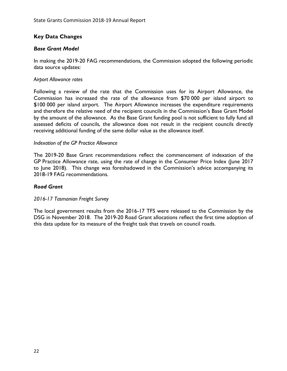# <span id="page-27-0"></span>**Key Data Changes**

## *Base Grant Model*

In making the 2019-20 FAG recommendations, the Commission adopted the following periodic data source updates:

#### *Airport Allowance rates*

Following a review of the rate that the Commission uses for its Airport Allowance, the Commission has increased the rate of the allowance from \$70 000 per island airport to \$100 000 per island airport. The Airport Allowance increases the expenditure requirements and therefore the relative need of the recipient councils in the Commission's Base Grant Model by the amount of the allowance. As the Base Grant funding pool is not sufficient to fully fund all assessed deficits of councils, the allowance does not result in the recipient councils directly receiving additional funding of the same dollar value as the allowance itself.

#### *Indexation of the GP Practice Allowance*

The 2019-20 Base Grant recommendations reflect the commencement of indexation of the GP Practice Allowance rate, using the rate of change in the Consumer Price Index (June 2017 to June 2018). This change was foreshadowed in the Commission's advice accompanying its 2018-19 FAG recommendations.

#### *Road Grant*

*2016-17 Tasmanian Freight Survey* 

The local government results from the 2016-17 TFS were released to the Commission by the DSG in November 2018. The 2019-20 Road Grant allocations reflect the first time adoption of this data update for its measure of the freight task that travels on council roads.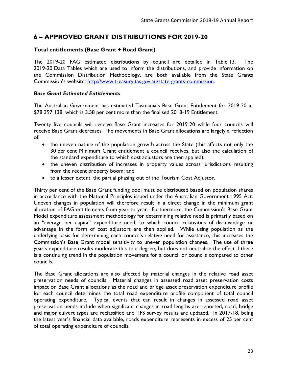# <span id="page-28-0"></span>**6 – APPROVED GRANT DISTRIBUTIONS FOR 2019-20**

## <span id="page-28-1"></span>**Total entitlements (Base Grant + Road Grant)**

The 2019-20 FAG estimated distributions by council are detailed in Table 13. The 2019-20 Data Tables which are used to inform the distributions, and provide information on the Commission Distribution Methodology, are both available from the State Grants Commission's website: [http://www.treasury.tas.gov.au/state-grants-commission.](http://www.treasury.tas.gov.au/state-grants-commission)

## *Base Grant Estimated Entitlements*

The Australian Government has estimated Tasmania's Base Grant Entitlement for 2019-20 at \$78 397 138, which is 3.58 per cent more than the finalised 2018-19 Entitlement.

Twenty five councils will receive Base Grant increases for 2019-20 while four councils will receive Base Grant decreases. The movements in Base Grant allocations are largely a reflection of:

- the uneven nature of the population growth across the State (this affects not only the 30 per cent Minimum Grant entitlement a council receives, but also the calculation of the standard expenditure to which cost adjustors are then applied);
- the uneven distribution of increases in property values across jurisdictions resulting from the recent property boom; and
- to a lesser extent, the partial phasing out of the Tourism Cost Adjustor.

Thirty per cent of the Base Grant funding pool must be distributed based on population shares in accordance with the National Principles issued under the Australian Government 1995 Act. Uneven changes in population will therefore result in a direct change in the minimum grant allocation of FAG entitlements from year to year. Furthermore, the Commission's Base Grant Model expenditure assessment methodology for determining relative need is primarily based on an "average per capita" expenditure need, to which council relativities of disadvantage or advantage in the form of cost adjustors are then applied. While using population as the underlying basis for determining each council's relative need for assistance, this increases the Commission's Base Grant model sensitivity to uneven population changes. The use of three year's expenditure results moderate this to a degree, but does not neutralise the effect if there is a continuing trend in the population movement for a council or councils compared to other councils.

The Base Grant allocations are also affected by material changes in the relative road asset preservation needs of councils. Material changes in assessed road asset preservation costs impact on Base Grant allocations as the road and bridge asset preservation expenditure profile for each council determines the total road expenditure profile component of total council operating expenditure. Typical events that can result in changes in assessed road asset preservation needs include when significant changes in road lengths are reported, road, bridge and major culvert types are reclassified and TFS survey results are updated. In 2017-18, being the latest year's financial data available, roads expenditure represents in excess of 25 per cent of total operating expenditure of councils.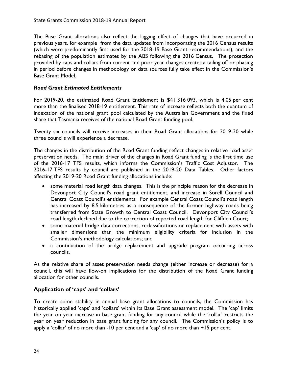The Base Grant allocations also reflect the lagging effect of changes that have occurred in previous years, for example from the data updates from incorporating the 2016 Census results (which were predominantly first used for the 2018-19 Base Grant recommendations), and the rebasing of the population estimates by the ABS following the 2016 Census. The protection provided by caps and collars from current and prior year changes creates a tailing off or phasing in period before changes in methodology or data sources fully take effect in the Commission's Base Grant Model.

# *Road Grant Estimated Entitlements*

For 2019-20, the estimated Road Grant Entitlement is \$41 316 093, which is 4.05 per cent more than the finalised 2018-19 entitlement. This rate of increase reflects both the quantum of indexation of the national grant pool calculated by the Australian Government and the fixed share that Tasmania receives of the national Road Grant funding pool.

Twenty six councils will receive increases in their Road Grant allocations for 2019-20 while three councils will experience a decrease.

The changes in the distribution of the Road Grant funding reflect changes in relative road asset preservation needs. The main driver of the changes in Road Grant funding is the first time use of the 2016-17 TFS results, which informs the Commission's Traffic Cost Adjustor. The 2016-17 TFS results by council are published in the 2019-20 Data Tables. Other factors affecting the 2019-20 Road Grant funding allocations include:

- some material road length data changes. This is the principle reason for the decrease in Devonport City Council's road grant entitlement, and increase in Sorell Council and Central Coast Council's entitlements. For example Central Coast Council's road length has increased by 8.5 kilometres as a consequence of the former highway roads being transferred from State Growth to Central Coast Council. Devonport City Council's road length declined due to the correction of reported road length for Cliffden Court;
- some material bridge data corrections, reclassifications or replacement with assets with smaller dimensions than the minimum eligibility criteria for inclusion in the Commission's methodology calculations; and
- a continuation of the bridge replacement and upgrade program occurring across councils.

As the relative share of asset preservation needs change (either increase or decrease) for a council, this will have flow-on implications for the distribution of the Road Grant funding allocation for other councils.

# <span id="page-29-0"></span>**Application of 'caps' and 'collars'**

To create some stability in annual base grant allocations to councils, the Commission has historically applied 'caps' and 'collars' within its Base Grant assessment model. The 'cap' limits the year on year increase in base grant funding for any council while the 'collar' restricts the year on year reduction in base grant funding for any council. The Commission's policy is to apply a 'collar' of no more than -10 per cent and a 'cap' of no more than +15 per cent.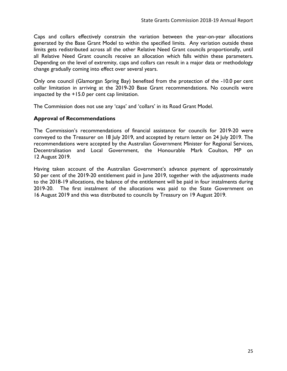Caps and collars effectively constrain the variation between the year-on-year allocations generated by the Base Grant Model to within the specified limits. Any variation outside these limits gets redistributed across all the other Relative Need Grant councils proportionally, until all Relative Need Grant councils receive an allocation which falls within these parameters. Depending on the level of extremity, caps and collars can result in a major data or methodology change gradually coming into effect over several years.

Only one council (Glamorgan Spring Bay) benefited from the protection of the -10.0 per cent collar limitation in arriving at the 2019-20 Base Grant recommendations. No councils were impacted by the +15.0 per cent cap limitation.

The Commission does not use any 'caps' and 'collars' in its Road Grant Model.

# <span id="page-30-0"></span>**Approval of Recommendations**

The Commission's recommendations of financial assistance for councils for 2019-20 were conveyed to the Treasurer on 18 July 2019, and accepted by return letter on 24 July 2019. The recommendations were accepted by the Australian Government Minister for Regional Services, Decentralisation and Local Government, the Honourable Mark Coulton, MP on 12 August 2019.

Having taken account of the Australian Government's advance payment of approximately 50 per cent of the 2019-20 entitlement paid in June 2019, together with the adjustments made to the 2018-19 allocations, the balance of the entitlement will be paid in four instalments during 2019-20. The first instalment of the allocations was paid to the State Government on 16 August 2019 and this was distributed to councils by Treasury on 19 August 2019.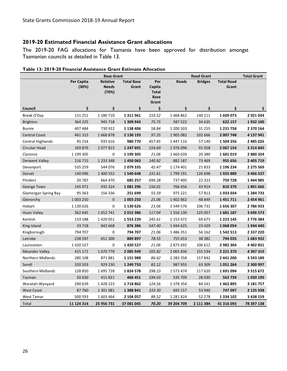# <span id="page-31-0"></span>**2019-20 Estimated Financial Assistance Grant allocations**

The 2019-20 FAG allocations for Tasmania have been approved for distribution amongst Tasmanian councils as detailed in Table 13.

|                             | <b>Base Grant</b>   |                                   |                            |                                                       |               | <b>Total Grant</b> |                            |               |
|-----------------------------|---------------------|-----------------------------------|----------------------------|-------------------------------------------------------|---------------|--------------------|----------------------------|---------------|
|                             | Per Capita<br>(30%) | Relative<br><b>Needs</b><br>(70%) | <b>Total Base</b><br>Grant | Per<br>Capita<br><b>Total</b><br><b>Base</b><br>Grant | <b>Roads</b>  | <b>Bridges</b>     | <b>Total Road</b><br>Grant |               |
| Council                     | \$                  | \$                                | \$                         | \$                                                    | \$            | \$                 | \$                         | \$            |
| Break O'Day                 | 131 251             | 1 180 710                         | 1 3 1 9 6 1                | 210.52                                                | 1468862       | 140 211            | 1 609 073                  | 2921034       |
| <b>Brighton</b>             | 364 225             | 945 718                           | 1 309 943                  | 75.75                                                 | 587 522       | 34 635             | 622 157                    | 1932100       |
| <b>Burnie</b>               | 407 484             | 730 922                           | 1 138 406                  | 58.84                                                 | 1 200 503     | 31 255             | 1 2 3 1 7 5 8              | 2 370 164     |
| <b>Central Coast</b>        | 461 315             | 1668878                           | 2 130 193                  | 97.25                                                 | 1905082       | 102 666            | 2 007 748                  | 4 137 941     |
| Central Highlands           | 45 154              | 935 616                           | 980 770                    | 457.45                                                | 1447116       | 57 140             | 1 504 256                  | 2 485 026     |
| <b>Circular Head</b>        | 169 876             | 1077815                           | 1 247 691                  | 154.69                                                | 1976096       | 91 058             | 2 067 154                  | 3 3 1 4 8 4 5 |
| Clarence                    | 1 199 305           | 0                                 | 1 199 305                  | 21.06                                                 | 1660639       | 20 380             | 1681019                    | 2880324       |
| Derwent Valley              | 216 715             | 1 2 3 3 3 4 8                     | 1450063                    | 140.92                                                | 882 187       | 73 469             | 955 656                    | 2 405 719     |
| Devonport                   | 535 259             | 544 076                           | 1079335                    | 42.47                                                 | 1 174 401     | 21833              | 1 196 234                  | 2 2 7 5 5 6 9 |
| Dorset                      | 140 096             | 1 400 552                         | 1540648                    | 231.61                                                | 1799 191      | 126 698            | 1925889                    | 3 466 537     |
| Flinders                    | 20 7 8 7            | 664 470                           | 685 257                    | 694.28                                                | 737 405       | 22 3 23            | 759 728                    | 1444985       |
| George Town                 | 145 972             | 935 324                           | 1081296                    | 156.01                                                | 766 456       | 43 914             | 810 370                    | 1891666       |
| <b>Glamorgan Spring Bay</b> | 95 363              | 156 336                           | 251 699                    | 55.59                                                 | 975 221       | 57813              | 1033034                    | 1 284 733     |
| Glenorchy                   | 1 003 250           | 0                                 | 1 003 250                  | 21.06                                                 | 1 402 862     | 48 849             | 1451711                    | 2 454 961     |
| Hobart                      | 1 130 626           | 0                                 | 1 130 626                  | 21.06                                                 | 1549576       | 106 731            | 1656307                    | 2786933       |
| <b>Huon Valley</b>          | 362 645             | 1652741                           | 2015386                    | 117.04                                                | 1556130       | 125 057            | 1681187                    | 3 696 573     |
| Kentish                     | 133 188             | 1420051                           | 1 553 239                  | 245.61                                                | 1 153 472     | 69 673             | 1 2 2 3 1 4 5              | 2776384       |
| King Island                 | 33 7 18             | 842 668                           | 876 386                    | 547.40                                                | 1044625       | 23 4 29            | 1068054                    | 1944 440      |
| Kingborough                 | 794 707             | 0                                 | 794 707                    | 21.06                                                 | 1486351       | 56 162             | 1 542 513                  | 2 3 3 7 2 2 0 |
| Latrobe                     | 238 597             | 651 300                           | 889 897                    | 78.55                                                 | 755 653       | 38 382             | 794 035                    | 1683932       |
| Launceston                  | 1420527             | 0                                 | 1 420 527                  | 21.06                                                 | 2875692       | 106 612            | 2982304                    | 4 4 0 2 8 3 1 |
| <b>Meander Valley</b>       | 415 171             | 1670778                           | 2 085 949                  | 105.82                                                | 2 0 6 5 8 3 6 | 155 534            | 2 2 2 1 3 7 0              | 4 307 319     |
| Northern Midlands           | 280 108             | 871881                            | 1 151 989                  | 86.62                                                 | 2 2 8 3 3 5 8 | 157 842            | 2 441 200                  | 3 5 9 3 1 8 9 |
| Sorell                      | 320 503             | 929 230                           | 1 249 733                  | 82.12                                                 | 987 955       | 63 309             | 1051264                    | 2 300 997     |
| Southern Midlands           | 128 850             | 1695728                           | 1824578                    | 298.23                                                | 1573474       | 117 620            | 1691094                    | 3 5 1 5 6 7 2 |
| Tasman                      | 50 630              | 415 821                           | 466 451                    | 194.03                                                | 535 709       | 28 030             | 563 739                    | 1030190       |
| Waratah-Wynyard             | 290 639             | 1428223                           | 1718862                    | 124.56                                                | 1 378 354     | 84 541             | 1462895                    | 3 181 757     |
| <b>West Coast</b>           | 87760               | 1 301 081                         | 1 388 841                  | 333.30                                                | 693 157       | 53 940             | 747 097                    | 2 135 938     |
| West Tamar                  | 500 593             | 1603464                           | 2 104 057                  | 88.52                                                 | 1 2 8 1 8 2 4 | 52 278             | 1 3 3 4 1 0 2              | 3 438 159     |
| Total                       | 11 124 314          | 25 956 731                        | 37 081 045                 | 70.20                                                 | 39 204 709    | 2 111 384          | 41 316 093                 | 78 397 138    |

<span id="page-31-1"></span>**Table 13: 2019-20 Financial Assistance Grant Estimate Allocation**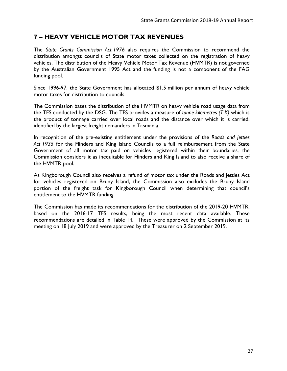# <span id="page-32-0"></span>**7 – HEAVY VEHICLE MOTOR TAX REVENUES**

The *State Grants Commission Act 1976* also requires the Commission to recommend the distribution amongst councils of State motor taxes collected on the registration of heavy vehicles. The distribution of the Heavy Vehicle Motor Tax Revenue (HVMTR) is not governed by the Australian Government 1995 Act and the funding is not a component of the FAG funding pool.

Since 1996-97, the State Government has allocated \$1.5 million per annum of heavy vehicle motor taxes for distribution to councils.

The Commission bases the distribution of the HVMTR on heavy vehicle road usage data from the TFS conducted by the DSG. The TFS provides a measure of *tonne-kilometres (T-K)* which is the product of tonnage carried over local roads and the distance over which it is carried, identified by the largest freight demanders in Tasmania.

In recognition of the pre-existing entitlement under the provisions of the *Roads and Jetties Act 1935* for the Flinders and King Island Councils to a full reimbursement from the State Government of all motor tax paid on vehicles registered within their boundaries, the Commission considers it as inequitable for Flinders and King Island to also receive a share of the HVMTR pool.

As Kingborough Council also receives a refund of motor tax under the Roads and Jetties Act for vehicles registered on Bruny Island, the Commission also excludes the Bruny Island portion of the freight task for Kingborough Council when determining that council's entitlement to the HVMTR funding.

The Commission has made its recommendations for the distribution of the 2019-20 HVMTR, based on the 2016-17 TFS results, being the most recent data available. These recommendations are detailed in Table 14. These were approved by the Commission at its meeting on 18 July 2019 and were approved by the Treasurer on 2 September 2019.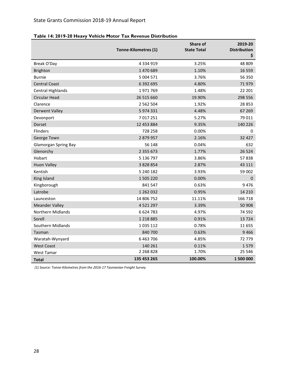|                             | Tonne-Kilometres (1) | Share of<br><b>State Total</b> | 2019-20<br><b>Distribution</b><br>\$ |
|-----------------------------|----------------------|--------------------------------|--------------------------------------|
| Break O'Day                 | 4 3 3 4 9 1 9        | 3.25%                          | 48 809                               |
| <b>Brighton</b>             | 1 470 689            | 1.10%                          | 16 559                               |
| <b>Burnie</b>               | 5 004 571            | 3.76%                          | 56 350                               |
| <b>Central Coast</b>        | 6 392 695            | 4.80%                          | 71979                                |
| <b>Central Highlands</b>    | 1971769              | 1.48%                          | 22 201                               |
| <b>Circular Head</b>        | 26 515 660           | 19.90%                         | 298 556                              |
| Clarence                    | 2 5 6 2 5 0 4        | 1.92%                          | 28 853                               |
| <b>Derwent Valley</b>       | 5974331              | 4.48%                          | 67 269                               |
| Devonport                   | 7017251              | 5.27%                          | 79 011                               |
| Dorset                      | 12 453 884           | 9.35%                          | 140 226                              |
| <b>Flinders</b>             | 728 258              | 0.00%                          | 0                                    |
| George Town                 | 2879957              | 2.16%                          | 32 4 27                              |
| <b>Glamorgan Spring Bay</b> | 56 148               | 0.04%                          | 632                                  |
| Glenorchy                   | 2 3 5 5 6 7 3        | 1.77%                          | 26 5 24                              |
| Hobart                      | 5 136 797            | 3.86%                          | 57838                                |
| <b>Huon Valley</b>          | 3 8 2 8 8 5 4        | 2.87%                          | 43 111                               |
| Kentish                     | 5 240 182            | 3.93%                          | 59 002                               |
| King Island                 | 1 505 220            | 0.00%                          | $\mathbf 0$                          |
| Kingborough                 | 841 547              | 0.63%                          | 9476                                 |
| Latrobe                     | 1 262 032            | 0.95%                          | 14 2 10                              |
| Launceston                  | 14 806 752           | 11.11%                         | 166 718                              |
| <b>Meander Valley</b>       | 4 5 2 1 2 9 7        | 3.39%                          | 50 908                               |
| <b>Northern Midlands</b>    | 6624783              | 4.97%                          | 74 592                               |
| Sorell                      | 1 2 1 8 8 8 5        | 0.91%                          | 13724                                |
| Southern Midlands           | 1035112              | 0.78%                          | 11 655                               |
| Tasman                      | 840 700              | 0.63%                          | 9466                                 |
| Waratah-Wynyard             | 6 4 63 7 06          | 4.85%                          | 72 779                               |
| <b>West Coast</b>           | 140 261              | 0.11%                          | 1579                                 |
| <b>West Tamar</b>           | 2 2 68 8 28          | 1.70%                          | 25 546                               |
| <b>Total</b>                | 135 453 265          | 100.00%                        | 1 500 000                            |

<span id="page-33-0"></span>

*(1) Source: Tonne-Kilometres from the 2016-17 Tasmanian Freight Survey*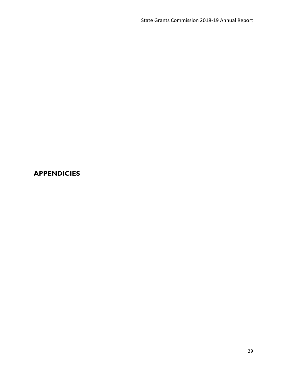# <span id="page-34-0"></span>**APPENDICIES**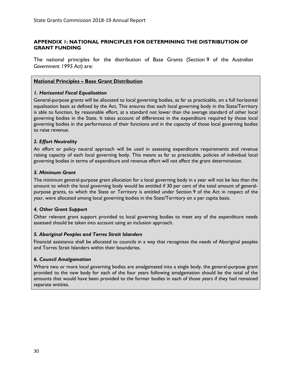### <span id="page-35-0"></span>**APPENDIX 1: NATIONAL PRINCIPLES FOR DETERMINING THE DISTRIBUTION OF GRANT FUNDING**

The national principles for the distribution of Base Grants (Section 9 of the *Australian Government 1995 Act*) are:

#### **National Principles – Base Grant Distribution**

#### *1. Horizontal Fiscal Equalisation*

General-purpose grants will be allocated to local governing bodies, as far as practicable, on a full horizontal equalisation basis as defined by the Act. This ensures that each local governing body in the State/Territory is able to function, by reasonable effort, at a standard not lower than the average standard of other local governing bodies in the State. It takes account of differences in the expenditure required by those local governing bodies in the performance of their functions and in the capacity of those local governing bodies to raise revenue.

#### *2. Effort Neutrality*

An effort or policy neutral approach will be used in assessing expenditure requirements and revenue raising capacity of each local governing body. This means as far as practicable, policies of individual local governing bodies in terms of expenditure and revenue effort will not affect the grant determination.

#### *3. Minimum Grant*

The minimum general-purpose grant allocation for a local governing body in a year will not be less than the amount to which the local governing body would be entitled if 30 per cent of the total amount of generalpurpose grants, to which the State or Territory is entitled under Section 9 of the Act in respect of the year, were allocated among local governing bodies in the State/Territory on a per capita basis.

#### *4. Other Grant Support*

Other relevant grant support provided to local governing bodies to meet any of the expenditure needs assessed should be taken into account using an inclusion approach.

#### *5. Aboriginal Peoples and Torres Strait Islanders*

Financial assistance shall be allocated to councils in a way that recognises the needs of Aboriginal peoples and Torres Strait Islanders within their boundaries.

#### *6. Council Amalgamation*

Where two or more local governing bodies are amalgamated into a single body, the general-purpose grant provided to the new body for each of the four years following amalgamation should be the total of the amounts that would have been provided to the former bodies in each of those years if they had remained separate entities.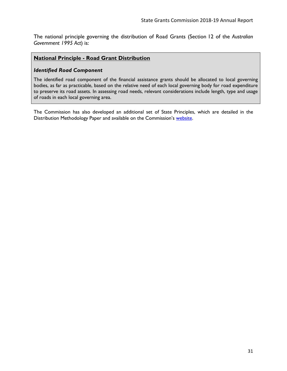The national principle governing the distribution of Road Grants (Section 12 of the *Australian Government 1995 Act*) is:

#### **National Principle - Road Grant Distribution**

#### *Identified Road Component*

The identified road component of the financial assistance grants should be allocated to local governing bodies, as far as practicable, based on the relative need of each local governing body for road expenditure to preserve its road assets. In assessing road needs, relevant considerations include length, type and usage of roads in each local governing area.

The Commission has also developed an additional set of State Principles, which are detailed in the Distribution Methodology Paper and available on the Commission's [website.](https://www.treasury.tas.gov.au/state-grants-commission)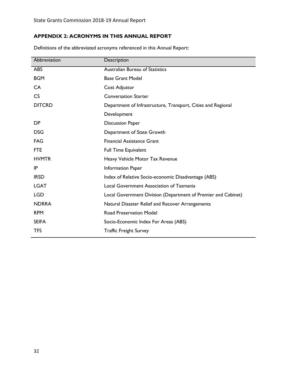# <span id="page-37-0"></span>**APPENDIX 2: ACRONYMS IN THIS ANNUAL REPORT**

| Abbreviation  | Description                                                   |
|---------------|---------------------------------------------------------------|
| <b>ABS</b>    | <b>Australian Bureau of Statistics</b>                        |
| <b>BGM</b>    | <b>Base Grant Model</b>                                       |
| CA            | Cost Adjustor                                                 |
| CS            | <b>Conversation Starter</b>                                   |
| <b>DITCRD</b> | Department of Infrastructure, Transport, Cities and Regional  |
|               | Development                                                   |
| DP            | <b>Discussion Paper</b>                                       |
| <b>DSG</b>    | Department of State Growth                                    |
| <b>FAG</b>    | <b>Financial Assistance Grant</b>                             |
| <b>FTE</b>    | <b>Full Time Equivalent</b>                                   |
| <b>HVMTR</b>  | Heavy Vehicle Motor Tax Revenue                               |
| IP            | Information Paper                                             |
| <b>IRSD</b>   | Index of Relative Socio-economic Disadvantage (ABS)           |
| <b>LGAT</b>   | Local Government Association of Tasmania                      |
| <b>LGD</b>    | Local Government Division (Department of Premier and Cabinet) |
| <b>NDRRA</b>  | Natural Disaster Relief and Recover Arrangements              |
| <b>RPM</b>    | <b>Road Preservation Model</b>                                |
| <b>SEIFA</b>  | Socio-Economic Index For Areas (ABS)                          |
| <b>TFS</b>    | <b>Traffic Freight Survey</b>                                 |
|               |                                                               |

Definitions of the abbreviated acronyms referenced in this Annual Report: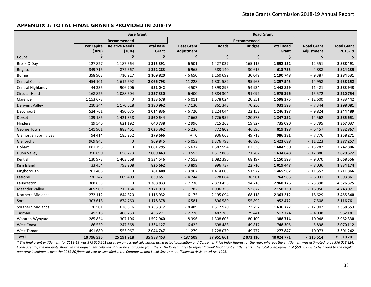#### **APPENDIX 3: TOTAL FINAL GRANTS PROVIDED IN 2018-19**

<span id="page-38-0"></span>

|                             | <b>Base Grant</b> |                       |                   |                   | <b>Road Grant</b> |                |                   |                   |                    |
|-----------------------------|-------------------|-----------------------|-------------------|-------------------|-------------------|----------------|-------------------|-------------------|--------------------|
|                             |                   | Recommended           |                   |                   |                   | Recommended    |                   |                   |                    |
|                             | <b>Per Capita</b> | <b>Relative Needs</b> | <b>Total Base</b> | <b>Base Grant</b> | <b>Roads</b>      | <b>Bridges</b> | <b>Total Road</b> | <b>Road Grant</b> | <b>Total Grant</b> |
|                             | (30%)             | (70%)                 | Grant             | Adjustment        |                   |                | Grant             | Adjustment        | 2018-19            |
| Council                     | \$                | Ś                     | \$                | \$                | \$                | \$             | \$                | \$                | \$                 |
| Break O'Day                 | 127827            | 1 187 564             | 1 3 1 5 3 9 1     | $-6501$           | 1 427 037         | 165 115        | 1592152           | $-12551$          | 2888491            |
| Brighton                    | 349 716           | 872 567               | 1 222 283         | $-6965$           | 583 140           | 30 615         | 613 755           | $-4838$           | 1824235            |
| <b>Burnie</b>               | 398 903           | 710 917               | 1 109 820         | $-6650$           | 1 160 699         | 30 049         | 1 190 748         | $-9387$           | 2 2 8 4 5 3 1      |
| <b>Central Coast</b>        | 454 101           | 1612692               | 2 066 793         | $-11228$          | 1801582           | 95 963         | 1897545           | $-14958$          | 3 9 38 1 52        |
| Central Highlands           | 44 3 36           | 906 706               | 951 042           | $-4507$           | 1 393 895         | 54 934         | 1448829           | $-11421$          | 2 3 8 3 9 4 3      |
| Circular Head               | 168 826           | 1088504               | 1 257 330         | $-6400$           | 1884304           | 91 0 92        | 1975396           | $-15572$          | 3 2 10 7 54        |
| Clarence                    | 1 153 678         | 0                     | 1 153 678         | $-6011$           | 1578024           | 20 351         | 1598375           | $-12600$          | 2 733 442          |
| <b>Derwent Valley</b>       | 210 344           | 1 170 618             | 1 380 962         | $-7130$           | 861 343           | 70 250         | 931 593           | $-7344$           | 2 2 9 8 0 8 1      |
| Devonport                   | 524 761           | 490 075               | 1014836           | $-6720$           | 1 2 2 4 0 4 4     | 22 153         | 1 246 197         | $-9824$           | 2 244 489          |
| Dorset                      | 139 186           | 1421358               | 1560544           | $-7663$           | 1726959           | 120 373        | 1847332           | $-14562$          | 3 3 8 5 6 5 1      |
| Flinders                    | 19 5 46           | 621 192               | 640738            | $-2996$           | 715 263           | 19827          | 735 090           | $-5795$           | 1 3 6 7 0 3 7      |
| George Town                 | 141 901           | 883 461               | 1025362           | $-5236$           | 772 802           | 46 396         | 819 198           | $-6457$           | 1832867            |
| <b>Glamorgan Spring Bay</b> | 94 4 14           | 185 252               | 279 666           | $+ 0$             | 936 663           | 49718          | 986 381           | $-7776$           | 1 2 5 8 2 7 1      |
| Glenorchy                   | 969 845           | $\mathbf 0$           | 969 845           | $-5053$           | 1 376 798         | 46 8 90        | 1423688           | $-11223$          | 2 377 257          |
| Hobart                      | 1 081 795         | 0                     | 1081795           | $-5637$           | 1582594           | 102 336        | 1684930           | $-13282$          | 2 747 806          |
| <b>Huon Valley</b>          | 350 690           | 1658773               | 2 009 463         | $-10553$          | 1512886           | 121 762        | 1634648           | $-12886$          | 3 620 672          |
| Kentish                     | 130 978           | 1 403 568             | 1 534 546         | $-7513$           | 1082396           | 68 197         | 1 150 593         | $-9070$           | 2 668 556          |
| King Island                 | 33 4 54           | 793 208               | 826 662           | $-3899$           | 996 737           | 22 7 10        | 1019447           | $-8036$           | 1834174            |
| Kingborough                 | 761 408           | 0                     | 761 408           | $-3967$           | 1 4 1 4 0 0 5     | 51977          | 1465982           | $-11557$          | 2 2 1 8 6 6        |
| Latrobe                     | 230 242           | 609 409               | 839 651           | $-4744$           | 728 084           | 36 901         | 764 985           | $-6031$           | 1593861            |
| Launceston                  | 1 388 833         | 0                     | 1388833           | $-7236$           | 2 873 458         | 94 718         | 2968176           | $-23398$          | 4 3 2 6 3 7 5      |
| <b>Meander Valley</b>       | 405 909           | 1715 164              | 2 121 073         | $-11282$          | 1996358           | 153 872        | 2 150 230         | $-16950$          | 4 243 071          |
| Northern Midlands           | 272 112           | 844 820               | 1 1 1 6 9 3 2     | $-6175$           | 2 195 094         | 168 118        | 2 3 6 3 2 1 2     | $-18629$          | 3 455 340          |
| Sorell                      | 303 618           | 874 760               | 1 178 378         | $-6581$           | 896 580           | 55 892         | 952 472           | $-7508$           | 2 116 761          |
| Southern Midlands           | 126 501           | 1626816               | 1753317           | $-8489$           | 1512970           | 123 757        | 1636727           | $-12902$          | 3 3 6 8 6 5 3      |
| Tasman                      | 49 5 18           | 406 753               | 456 271           | $-2276$           | 482 783           | 29 441         | 512 224           | $-4038$           | 962 181            |
| Waratah-Wynyard             | 285 854           | 1 307 106             | 1 592 960         | $-8396$           | 1 308 605         | 80 109         | 1 388 714         | $-10948$          | 2962330            |
| <b>West Coast</b>           | 86 559            | 1 247 568             | 1 3 3 4 1 2 7     | $-6422$           | 698 488           | 49 817         | 748 305           | $-5898$           | 2070112            |
| <b>West Tamar</b>           | 491 680           | 1553067               | 2 044 747         | $-11279$          | 1 228 070         | 49 7 77        | 1 277 847         | $-10073$          | 3 301 242          |
| <b>Total</b>                | 10 796 535        | 25 191 918            | 35 988 453        | - 187 509         | 37 951 661        | 2 073 110      | 40 024 771        | $-315514$         | 75 510 201         |

\* The final grant entitlement for 2018-19 was \$75 510 201 based on an accrual calculation using actual population and Consumer Price Index figures for the year, whereas the entitlement was estimated to be \$76 013 224. Consequently, the amounts shown in the adjustment columns should be subtracted from the 2018-19 estimates to reflect 'actual' final grant entitlements. The total overpayment of \$503 023 is to be added to the regular *quarterly instalments over the 2019-20 financial year as specified in the Commonwealth Local Government (Financial Assistance) Act 1995.*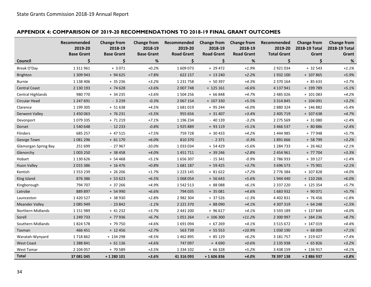## **APPENDIX 4: COMPARISON OF 2019-20 RECOMMENDATIONS TO 2018-19 FINAL GRANT OUTCOMES**

<span id="page-39-0"></span>

|                             | Recommended<br>2019-20<br><b>Base Grant</b> | <b>Change from</b><br>2018-19<br><b>Base Grant</b> | Change from<br>2018-19<br><b>Base Grant</b> | Recommended<br>2019-20<br><b>Road Grant</b> | <b>Change from</b><br>2018-19<br><b>Road Grant</b> | <b>Change from</b><br>2018-19<br><b>Road Grant</b> | Recommended<br>2019-20<br><b>Total Grant</b> | <b>Change from</b><br>2018-19 Total<br>Grant | <b>Change from</b><br>2018-19 Total<br>Grant |
|-----------------------------|---------------------------------------------|----------------------------------------------------|---------------------------------------------|---------------------------------------------|----------------------------------------------------|----------------------------------------------------|----------------------------------------------|----------------------------------------------|----------------------------------------------|
| Council                     | Ś.                                          | \$                                                 | %                                           | \$                                          | \$.                                                | %                                                  | Ś                                            | Ś                                            | $\%$                                         |
| Break O'Day                 | 1 3 1 9 6 1                                 | $+3071$                                            | $+0.2%$                                     | 1609073                                     | $+29472$                                           | $+1.9%$                                            | 2 9 2 1 0 3 4                                | $+32543$                                     | $+1.1%$                                      |
| <b>Brighton</b>             | 1 309 943                                   | $+94625$                                           | $+7.8%$                                     | 622 157                                     | $+ 13240$                                          | $+2.2%$                                            | 1932 100                                     | + 107 865                                    | $+5.9%$                                      |
| <b>Burnie</b>               | 1 138 406                                   | $+35236$                                           | $+3.2%$                                     | 1 2 3 1 7 5 8                               | $+50397$                                           | $+4.3%$                                            | 2 370 164                                    | $+85633$                                     | $+3.7%$                                      |
| <b>Central Coast</b>        | 2 130 193                                   | $+74628$                                           | $+3.6%$                                     | 2 007 748                                   | $+125161$                                          | $+6.6%$                                            | 4 137 941                                    | + 199 789                                    | $+5.1%$                                      |
| Central Highlands           | 980 770                                     | $+34235$                                           | $+3.6%$                                     | 1 504 256                                   | $+66848$                                           | $+4.7%$                                            | 2 485 026                                    | $+101083$                                    | $+4.2%$                                      |
| Circular Head               | 1 247 691                                   | $-3239$                                            | $-0.3%$                                     | 2 0 67 1 54                                 | $+ 107330$                                         | $+5.5%$                                            | 3 3 1 4 8 4 5                                | $+104091$                                    | $+3.2%$                                      |
| Clarence                    | 1 199 305                                   | $+51638$                                           | $+4.5%$                                     | 1681019                                     | $+95244$                                           | $+6.0%$                                            | 2 880 324                                    | $+ 146882$                                   | $+5.4%$                                      |
| <b>Derwent Valley</b>       | 1450063                                     | $+76231$                                           | $+5.5%$                                     | 955 656                                     | $+31407$                                           | $+3.4%$                                            | 2 405 719                                    | $+ 107638$                                   | $+4.7%$                                      |
| Devonport                   | 1079335                                     | + 71 219                                           | $+7.1%$                                     | 1 196 234                                   | $-40139$                                           | $-3.2%$                                            | 2 275 569                                    | $+31080$                                     | $+1.4%$                                      |
| Dorset                      | 1540648                                     | $-12233$                                           | $-0.8%$                                     | 1925889                                     | + 93 119                                           | $+5.1%$                                            | 3 466 537                                    | + 80 886                                     | $+2.4%$                                      |
| Flinders                    | 685 257                                     | + 47 515                                           | $+7.5%$                                     | 759 728                                     | $+30433$                                           | $+4.2%$                                            | 1 444 985                                    | + 77 948                                     | $+5.7%$                                      |
| George Town                 | 1081296                                     | $+61170$                                           | $+6.0%$                                     | 810 370                                     | $-2371$                                            | $-0.3%$                                            | 1891666                                      | + 58 799                                     | $+3.2%$                                      |
| <b>Glamorgan Spring Bay</b> | 251 699                                     | $-27967$                                           | $-10.0%$                                    | 1033034                                     | $+54429$                                           | $+5.6%$                                            | 1 284 733                                    | $+26462$                                     | $+2.1%$                                      |
| Glenorchy                   | 1 003 250                                   | $+38458$                                           | $+4.0%$                                     | 1451711                                     | $+39246$                                           | $+2.8%$                                            | 2 454 961                                    | + 77 704                                     | $+3.3%$                                      |
| Hobart                      | 1 130 626                                   | $+54468$                                           | $+5.1%$                                     | 1656307                                     | $-15341$                                           | $-0.9%$                                            | 2786933                                      | $+39127$                                     | $+1.4%$                                      |
| <b>Huon Valley</b>          | 2 0 1 5 3 8 6                               | $+16476$                                           | $+0.8%$                                     | 1681187                                     | $+59425$                                           | $+3.7%$                                            | 3 696 573                                    | $+ 75901$                                    | $+2.1%$                                      |
| Kentish                     | 1553239                                     | $+26206$                                           | $+1.7%$                                     | 1 2 2 3 1 4 5                               | $+81622$                                           | $+7.2%$                                            | 2776384                                      | + 107 828                                    | $+4.0%$                                      |
| King Island                 | 876 386                                     | $+ 53623$                                          | $+6.5%$                                     | 1068054                                     | $+56643$                                           | $+5.6%$                                            | 1944 440                                     | $+110266$                                    | $+6.0%$                                      |
| Kingborough                 | 794 707                                     | $+37266$                                           | $+4.9%$                                     | 1542513                                     | + 88 088                                           | $+6.1%$                                            | 2 3 3 7 2 2 0                                | + 125 354                                    | $+5.7%$                                      |
| Latrobe                     | 889 897                                     | $+54990$                                           | $+6.6%$                                     | 794 035                                     | $+35081$                                           | $+4.6%$                                            | 1683932                                      | $+90071$                                     | $+5.7%$                                      |
| Launceston                  | 1 4 2 0 5 2 7                               | + 38 930                                           | $+2.8%$                                     | 2 982 304                                   | + 37 526                                           | $+1.3%$                                            | 4 4 0 2 8 3 1                                | + 76 456                                     | $+1.8%$                                      |
| <b>Meander Valley</b>       | 2 085 949                                   | $-23842$                                           | $-1.1%$                                     | 2 2 2 1 3 7 0                               | + 88 090                                           | $+4.1%$                                            | 4 307 319                                    | $+64248$                                     | $+1.5%$                                      |
| Northern Midlands           | 1 151 989                                   | $+41232$                                           | $+3.7%$                                     | 2 441 200                                   | $+96617$                                           | $+4.1%$                                            | 3 5 9 3 1 8 9                                | + 137 849                                    | $+4.0%$                                      |
| Sorell                      | 1 249 733                                   | + 77 936                                           | $+6.7%$                                     | 1051264                                     | $+ 106300$                                         | $+11.2%$                                           | 2 300 997                                    | $+ 184236$                                   | $+8.7%$                                      |
| Southern Midlands           | 1824578                                     | + 79 750                                           | $+4.6%$                                     | 1691094                                     | $+ 67269$                                          | $+4.1%$                                            | 3 5 1 5 6 7 2                                | + 147 019                                    | $+4.4%$                                      |
| Tasman                      | 466 451                                     | $+12456$                                           | $+2.7%$                                     | 563 739                                     | $+5553$                                            | $+10.9%$                                           | 1 0 3 0 1 9 0                                | $+68009$                                     | $+7.1%$                                      |
| Waratah-Wynyard             | 1718862                                     | + 134 298                                          | $+8.5%$                                     | 1462895                                     | $+85129$                                           | $+6.2%$                                            | 3 181 757                                    | + 219 427                                    | $+7.4%$                                      |
| <b>West Coast</b>           | 1 388 841                                   | $+61136$                                           | $+4.6%$                                     | 747 097                                     | $+4690$                                            | $+0.6%$                                            | 2 135 938                                    | $+65826$                                     | $+3.2%$                                      |
| West Tamar                  | 2 104 057                                   | + 70 589                                           | $+3.5%$                                     | 1 3 3 4 1 0 2                               | $+66328$                                           | $+5.2%$                                            | 3 4 3 8 1 5 9                                | + 136 917                                    | $+4.1%$                                      |
| Total                       | 37 081 045                                  | +1 280 101                                         | $+3.6%$                                     | 41 316 093                                  | $+1606836$                                         | $+4.0%$                                            | 78 397 138                                   | + 2 886 937                                  | $+3.8%$                                      |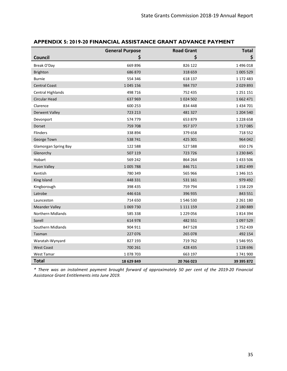|                             | <b>General Purpose</b> | <b>Road Grant</b> | <b>Total</b>  |
|-----------------------------|------------------------|-------------------|---------------|
| <b>Council</b>              | \$                     | \$                | \$            |
| Break O'Day                 | 669 896                | 826 122           | 1496018       |
| <b>Brighton</b>             | 686 870                | 318 659           | 1 005 529     |
| <b>Burnie</b>               | 554 346                | 618 137           | 1 172 483     |
| <b>Central Coast</b>        | 1 0 4 5 1 5 6          | 984 737           | 2029893       |
| <b>Central Highlands</b>    | 498 716                | 752 435           | 1 2 5 1 1 5 1 |
| Circular Head               | 637 969                | 1 0 24 5 0 2      | 1662 471      |
| Clarence                    | 600 253                | 834 448           | 1 4 3 4 7 0 1 |
| <b>Derwent Valley</b>       | 723 213                | 481 327           | 1 204 540     |
| Devonport                   | 574 779                | 653 879           | 1 2 2 8 6 5 8 |
| Dorset                      | 759 708                | 957 377           | 1717085       |
| Flinders                    | 338 894                | 379 658           | 718 552       |
| George Town                 | 538 741                | 425 301           | 964 042       |
| <b>Glamorgan Spring Bay</b> | 122 588                | 527 588           | 650 176       |
| Glenorchy                   | 507 119                | 723 726           | 1 2 3 0 8 4 5 |
| Hobart                      | 569 242                | 864 264           | 1 433 506     |
| <b>Huon Valley</b>          | 1 005 788              | 846 711           | 1852499       |
| Kentish                     | 780 349                | 565 966           | 1 346 315     |
| King Island                 | 448 331                | 531 161           | 979 492       |
| Kingborough                 | 398 435                | 759 794           | 1 1 5 8 2 2 9 |
| Latrobe                     | 446 616                | 396 935           | 843 551       |
| Launceston                  | 714 650                | 1546530           | 2 2 6 1 1 8 0 |
| <b>Meander Valley</b>       | 1 0 69 7 30            | 1 1 1 1 1 5 9     | 2 180 889     |
| <b>Northern Midlands</b>    | 585 338                | 1 2 2 0 5 6       | 1814394       |
| Sorell                      | 614 978                | 482 551           | 1097529       |
| Southern Midlands           | 904 911                | 847 528           | 1752439       |
| Tasman                      | 227 076                | 265 078           | 492 154       |
| Waratah-Wynyard             | 827 193                | 719 762           | 1546955       |
| <b>West Coast</b>           | 700 261                | 428 435           | 1 1 28 6 96   |
| West Tamar                  | 1078703                | 663 197           | 1741900       |
| <b>Total</b>                | 18 629 849             | 20 766 023        | 39 395 872    |

# <span id="page-40-0"></span>**APPENDIX 5: 2019-20 FINANCIAL ASSISTANCE GRANT ADVANCE PAYMENT**

*\* There was an instalment payment brought forward of approximately 50 per cent of the 2019-20 Financial Assistance Grant Entitlements into June 2019.*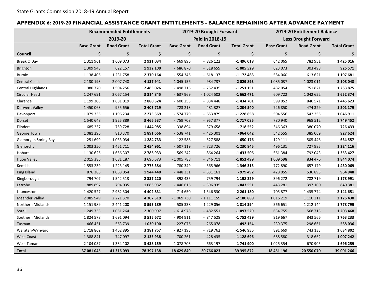## **APPENDIX 6: 2019-20 FINANCIAL ASSISTANCE GRANT ENTITLEMENTS - BALANCE REMAINING AFTER ADVANCE PAYMENT**

<span id="page-41-0"></span>

|                          |                   | <b>Recommended Entitlements</b> |                    | 2019-20 Brought Forward |                   |                    | 2019-20 Entitlement Balance |                   |                    |
|--------------------------|-------------------|---------------------------------|--------------------|-------------------------|-------------------|--------------------|-----------------------------|-------------------|--------------------|
|                          | 2019-20           |                                 |                    | Paid in 2018-19         |                   |                    | <b>Less Brought Forward</b> |                   |                    |
|                          | <b>Base Grant</b> | <b>Road Grant</b>               | <b>Total Grant</b> | <b>Base Grant</b>       | <b>Road Grant</b> | <b>Total Grant</b> | <b>Base Grant</b>           | <b>Road Grant</b> | <b>Total Grant</b> |
| Council                  | \$                | $\zeta$                         | \$                 | \$                      | \$                | \$                 | \$                          | $\zeta$           | \$                 |
| Break O'Day              | 1 3 1 9 6 1       | 1609073                         | 2 921 034          | $-669896$               | $-826122$         | $-1496018$         | 642 065                     | 782 951           | 1 4 2 5 0 1 6      |
| Brighton                 | 1 309 943         | 622 157                         | 1932100            | $-686870$               | $-318659$         | $-1005529$         | 623 073                     | 303 498           | 926 571            |
| <b>Burnie</b>            | 1 138 406         | 1 2 3 1 7 5 8                   | 2 370 164          | $-554346$               | $-618137$         | -1 172 483         | 584 060                     | 613 621           | 1 197 681          |
| <b>Central Coast</b>     | 2 130 193         | 2 007 748                       | 4 137 941          | $-1045156$              | $-984737$         | -2 029 893         | 1 085 037                   | 1023011           | 2 108 048          |
| <b>Central Highlands</b> | 980 770           | 1504256                         | 2 485 026          | $-498716$               | $-752435$         | $-1251151$         | 482 054                     | 751821            | 1 2 3 8 7 5        |
| Circular Head            | 1 247 691         | 2 067 154                       | 3 3 1 4 8 4 5      | $-637969$               | $-1024502$        | $-1662471$         | 609 722                     | 1042652           | 1652374            |
| Clarence                 | 1 199 305         | 1681019                         | 2 880 324          | $-600253$               | $-834448$         | $-1434701$         | 599 052                     | 846 571           | 1 4 4 5 6 2 3      |
| <b>Derwent Valley</b>    | 1 450 063         | 955 656                         | 2 405 719          | $-723213$               | $-481327$         | $-1204540$         | 726 850                     | 474 329           | 1 201 179          |
| Devonport                | 1079335           | 1 196 234                       | 2 275 569          | $-574779$               | $-653879$         | -1 228 658         | 504 556                     | 542 355           | 1046911            |
| Dorset                   | 1540648           | 1925889                         | 3 466 537          | $-759708$               | $-95737$          | -1 717 085         | 780 940                     | 968 512           | 1749 452           |
| Flinders                 | 685 257           | 759 728                         | 1 444 985          | - 338 894               | $-379658$         | $-718552$          | 346 363                     | 380 070           | 726 433            |
| George Town              | 1081296           | 810 370                         | 1891666            | $-538741$               | $-425301$         | $-964042$          | 542 555                     | 385 069           | 927 624            |
| Glamorgan Spring Bay     | 251 699           | 1033034                         | 1 284 733          | $-122588$               | $-527588$         | $-650176$          | 129 111                     | 505 446           | 634 557            |
| Glenorchy                | 1 003 250         | 1451711                         | 2 454 961          | $-507119$               | $-723726$         | -1 230 845         | 496 131                     | 727 985           | 1 2 2 4 1 1 6      |
| Hobart                   | 1 130 626         | 1656307                         | 2786933            | $-569242$               | $-864264$         | $-1433506$         | 561 384                     | 792 043           | 1 3 5 3 4 2 7      |
| <b>Huon Valley</b>       | 2 0 15 3 86       | 1681187                         | 3 696 573          | $-1005788$              | $-846711$         | -1852499           | 1 009 598                   | 834 476           | 1844074            |
| Kentish                  | 1553239           | 1 2 2 3 1 4 5                   | 2776384            | - 780 349               | $-565966$         | $-1346315$         | 772 890                     | 657 179           | 1 430 069          |
| King Island              | 876 386           | 1068054                         | 1944 440           | $-448331$               | $-531161$         | $-979492$          | 428 055                     | 536 893           | 964 948            |
| Kingborough              | 794 707           | 1542513                         | 2 3 3 7 2 2 0      | $-398435$               | - 759 794         | -1 158 229         | 396 272                     | 782 719           | 1 178 991          |
| Latrobe                  | 889 897           | 794 035                         | 1683932            | $-446616$               | $-396935$         | $-843551$          | 443 281                     | 397 100           | 840 381            |
| Launceston               | 1 4 2 0 5 2 7     | 2982304                         | 4 402 831          | $-714650$               | $-1546530$        | -2 261 180         | 705 877                     | 1 4 3 5 7 7 4     | 2 141 651          |
| <b>Meander Valley</b>    | 2 085 949         | 2 2 2 1 3 7 0                   | 4 307 319          | $-1069730$              | $-1111159$        | -2 180 889         | 1016219                     | 1 1 1 0 2 1 1     | 2 126 430          |
| Northern Midlands        | 1 151 989         | 2 441 200                       | 3 593 189          | $-585338$               | $-1229056$        | -1 814 394         | 566 651                     | 1 2 1 2 1 4 4     | 1778795            |
| Sorell                   | 1 249 733         | 1051264                         | 2 300 997          | $-614978$               | $-482551$         | $-1097529$         | 634 755                     | 568 713           | 1 203 468          |
| Southern Midlands        | 1824578           | 1691094                         | 3 5 1 5 6 7 2      | $-904911$               | $-847528$         | -1 752 439         | 919 667                     | 843 566           | 1763233            |
| Tasman                   | 466 451           | 563 739                         | 1 030 190          | $-227076$               | $-265078$         | $-492$ 154         | 239 375                     | 298 661           | 538 036            |
| Waratah-Wynyard          | 1718862           | 1462895                         | 3 181 757          | $-827193$               | $-719762$         | $-1546955$         | 891 669                     | 743 133           | 1634802            |
| <b>West Coast</b>        | 1 388 841         | 747 097                         | 2 135 938          | $-700261$               | $-428435$         | $-1$ 128 696       | 688 580                     | 318 662           | 1 007 242          |
| West Tamar               | 2 104 057         | 1 3 3 4 1 0 2                   | 3 438 159          | $-1078703$              | $-663197$         | -1 741 900         | 1 0 25 3 54                 | 670 905           | 1696259            |
| Total                    | 37 081 045        | 41 316 093                      | 78 397 138         | - 18 629 849            | - 20 766 023      | - 39 395 872       | 18 451 196                  | 20 550 070        | 39 001 266         |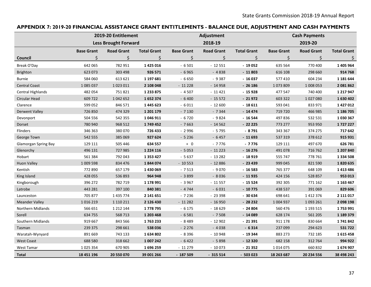## **APPENDIX 7: 2019-20 FINANCIAL ASSISTANCE GRANT ENTITLEMENTS - BALANCE DUE, ADJUSTMENT AND CASH PAYMENTS**

<span id="page-42-0"></span>

|                             | 2019-20 Entitlement |                             |                    |                   | Adjustment        |                    |                   | <b>Cash Payments</b> |                    |  |
|-----------------------------|---------------------|-----------------------------|--------------------|-------------------|-------------------|--------------------|-------------------|----------------------|--------------------|--|
|                             |                     | <b>Less Brought Forward</b> |                    | 2018-19           |                   |                    | 2019-20           |                      |                    |  |
|                             | <b>Base Grant</b>   | <b>Road Grant</b>           | <b>Total Grant</b> | <b>Base Grant</b> | <b>Road Grant</b> | <b>Total Grant</b> | <b>Base Grant</b> | <b>Road Grant</b>    | <b>Total Grant</b> |  |
| Council                     | \$                  | \$                          | \$                 | \$                | \$                | \$                 | \$                | \$                   | \$.                |  |
| Break O'Day                 | 642 065             | 782 951                     | 1 425 016          | $-6501$           | $-12551$          | $-19052$           | 635 564           | 770 400              | 1 405 964          |  |
| Brighton                    | 623 073             | 303 498                     | 926 571            | $-6965$           | $-4838$           | $-11803$           | 616 108           | 298 660              | 914 768            |  |
| <b>Burnie</b>               | 584 060             | 613 621                     | 1 197 681          | $-6650$           | $-9387$           | $-16037$           | 577 410           | 604 234              | 1 181 644          |  |
| <b>Central Coast</b>        | 1085037             | 1023011                     | 2 108 048          | $-11228$          | $-14958$          | $-26186$           | 1073809           | 1 008 053            | 2081862            |  |
| Central Highlands           | 482 054             | 751821                      | 1 233 875          | $-4507$           | $-11421$          | $-15928$           | 477 547           | 740 400              | 1 2 1 7 9 4 7      |  |
| <b>Circular Head</b>        | 609 722             | 1042652                     | 1652374            | $-6400$           | $-15572$          | $-21972$           | 603 322           | 1027080              | 1630402            |  |
| Clarence                    | 599 052             | 846 571                     | 1 445 623          | $-6011$           | $-12600$          | $-18611$           | 593 041           | 833 971              | 1 4 2 7 0 1 2      |  |
| <b>Derwent Valley</b>       | 726 850             | 474 329                     | 1 201 179          | $-7130$           | $-7344$           | $-14474$           | 719 720           | 466 985              | 1 186 705          |  |
| Devonport                   | 504 556             | 542 355                     | 1 046 911          | $-6720$           | $-9824$           | $-16544$           | 497836            | 532 531              | 1030367            |  |
| Dorset                      | 780 940             | 968 512                     | 1749452            | $-7663$           | $-14562$          | $-22225$           | 773 277           | 953 950              | 1727227            |  |
| Flinders                    | 346 363             | 380 070                     | 726 433            | $-2996$           | $-5795$           | $-8791$            | 343 367           | 374 275              | 717 642            |  |
| George Town                 | 542 555             | 385 069                     | 927 624            | $-5236$           | $-6457$           | $-11693$           | 537 319           | 378 612              | 915 931            |  |
| <b>Glamorgan Spring Bay</b> | 129 111             | 505 446                     | 634 557            | $+ 0$             | $-7776$           | $-7776$            | 129 111           | 497 670              | 626 781            |  |
| Glenorchy                   | 496 131             | 727 985                     | 1 2 2 4 1 1 6      | $-5053$           | $-11223$          | $-16276$           | 491 078           | 716 762              | 1 207 840          |  |
| Hobart                      | 561 384             | 792 043                     | 1 3 5 3 4 2 7      | $-5637$           | $-13282$          | $-18919$           | 555 747           | 778 761              | 1 3 3 4 5 0 8      |  |
| <b>Huon Valley</b>          | 1 009 598           | 834 476                     | 1844074            | $-10553$          | $-12886$          | $-23439$           | 999 045           | 821 590              | 1820635            |  |
| Kentish                     | 772 890             | 657 179                     | 1 430 069          | $-7513$           | $-9070$           | $-16583$           | 765 377           | 648 109              | 1413486            |  |
| King Island                 | 428 055             | 536 893                     | 964 948            | $-3899$           | $-8036$           | $-11935$           | 424 156           | 528 857              | 953 013            |  |
| Kingborough                 | 396 272             | 782 719                     | 1 178 991          | $-3967$           | $-11557$          | $-15524$           | 392 305           | 771 162              | 1 163 467          |  |
| Latrobe                     | 443 281             | 397 100                     | 840 381            | $-4744$           | $-6031$           | $-10775$           | 438 537           | 391 069              | 829 606            |  |
| Launceston                  | 705 877             | 1 435 774                   | 2 141 651          | $-7236$           | $-23398$          | $-30634$           | 698 641           | 1 4 1 2 3 7 6        | 2 111 017          |  |
| <b>Meander Valley</b>       | 1016219             | 1 1 1 0 2 1 1               | 2 126 430          | $-11282$          | $-16950$          | $-28232$           | 1 004 937         | 1093 261             | 2 098 198          |  |
| Northern Midlands           | 566 651             | 1 2 1 2 1 4 4               | 1778795            | $-6175$           | $-18629$          | $-24804$           | 560 476           | 1 193 515            | 1753991            |  |
| Sorell                      | 634 755             | 568 713                     | 1 203 468          | $-6581$           | $-7508$           | $-14089$           | 628 174           | 561 205              | 1 189 379          |  |
| Southern Midlands           | 919 667             | 843 566                     | 1763233            | $-8489$           | $-12902$          | $-21391$           | 911 178           | 830 664              | 1741842            |  |
| Tasman                      | 239 375             | 298 661                     | 538 036            | $-2276$           | $-4038$           | $-6314$            | 237 099           | 294 623              | 531722             |  |
| Waratah-Wynyard             | 891 669             | 743 133                     | 1634802            | $-8396$           | $-10948$          | $-19344$           | 883 273           | 732 185              | 1615458            |  |
| <b>West Coast</b>           | 688 580             | 318 662                     | 1 007 242          | $-6422$           | $-5898$           | $-12320$           | 682 158           | 312 764              | 994 922            |  |
| West Tamar                  | 1 0 25 3 54         | 670 905                     | 1696259            | $-11279$          | $-10073$          | $-21352$           | 1014075           | 660 832              | 1674907            |  |
| <b>Total</b>                | 18 451 196          | 20 550 070                  | 39 001 266         | $-187509$         | $-315514$         | $-503023$          | 18 263 687        | 20 234 556           | 38 498 243         |  |